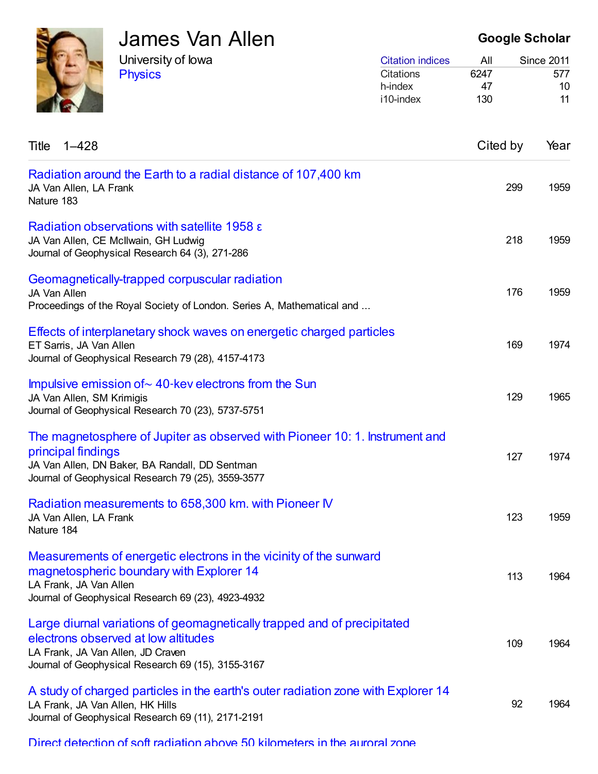| <b>James Var</b><br>University of lowa<br><b>Physics</b> |  |
|----------------------------------------------------------|--|
|                                                          |  |

# James Van Allen

Google Scholar

| <b>Citation indices</b> | All  | <b>Since 2011</b> |
|-------------------------|------|-------------------|
| Citations               | 6247 | 577               |
| h-index                 | 47   | 10                |
| i10-index               | 130  | 11                |

| Title<br>$1 - 428$                                                                                                                                                                                        | Cited by | Year |
|-----------------------------------------------------------------------------------------------------------------------------------------------------------------------------------------------------------|----------|------|
| Radiation around the Earth to a radial distance of 107,400 km<br>JA Van Allen, LA Frank<br>Nature 183                                                                                                     | 299      | 1959 |
| Radiation observations with satellite 1958 $\epsilon$<br>JA Van Allen, CE McIlwain, GH Ludwig<br>Journal of Geophysical Research 64 (3), 271-286                                                          | 218      | 1959 |
| Geomagnetically-trapped corpuscular radiation<br>JA Van Allen<br>Proceedings of the Royal Society of London. Series A, Mathematical and                                                                   | 176      | 1959 |
| Effects of interplanetary shock waves on energetic charged particles<br>ET Sarris, JA Van Allen<br>Journal of Geophysical Research 79 (28), 4157-4173                                                     | 169      | 1974 |
| Impulsive emission of $\sim$ 40-kev electrons from the Sun<br>JA Van Allen, SM Krimigis<br>Journal of Geophysical Research 70 (23), 5737-5751                                                             | 129      | 1965 |
| The magnetosphere of Jupiter as observed with Pioneer 10: 1. Instrument and<br>principal findings<br>JA Van Allen, DN Baker, BA Randall, DD Sentman<br>Journal of Geophysical Research 79 (25), 3559-3577 | 127      | 1974 |
| Radiation measurements to 658,300 km. with Pioneer IV<br>JA Van Allen, LA Frank<br>Nature 184                                                                                                             | 123      | 1959 |
| Measurements of energetic electrons in the vicinity of the sunward<br>magnetospheric boundary with Explorer 14<br>LA Frank, JA Van Allen<br>Journal of Geophysical Research 69 (23), 4923-4932            | 113      | 1964 |
| Large diurnal variations of geomagnetically trapped and of precipitated<br>electrons observed at low altitudes<br>LA Frank, JA Van Allen, JD Craven<br>Journal of Geophysical Research 69 (15), 3155-3167 | 109      | 1964 |
| A study of charged particles in the earth's outer radiation zone with Explorer 14<br>LA Frank, JA Van Allen, HK Hills<br>Journal of Geophysical Research 69 (11), 2171-2191                               | 92       | 1964 |

Direct detection of soft radiation above 50 [kilometers](https://scholar.google.com/citations?view_op=view_citation&hl=en&user=ErFeWdEAAAAJ&citation_for_view=ErFeWdEAAAAJ:00hq1xGbIBsC) in the auroral zone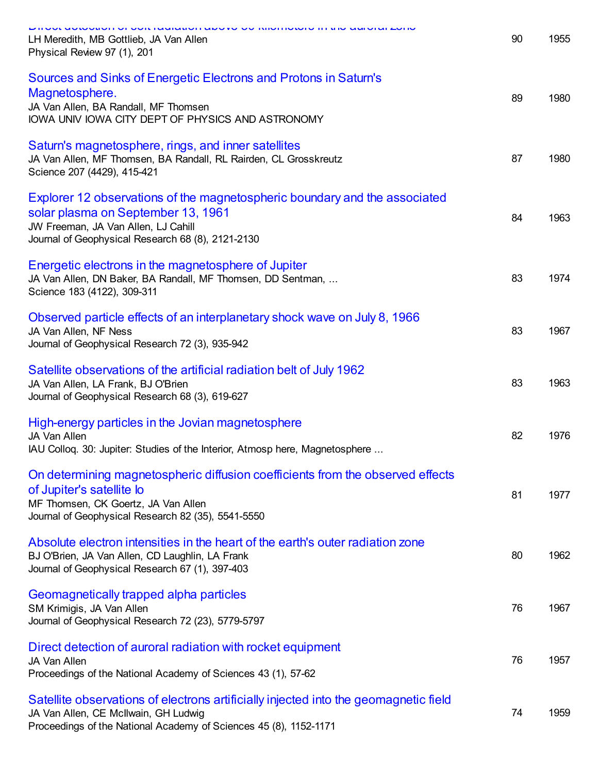| יוו טערעטמעטורטו טויונדומעוממטורמגט דט טוווטוווטגטוט ווי נומט מעוטומרבטווט<br>LH Meredith, MB Gottlieb, JA Van Allen<br>Physical Review 97 (1), 201                                                          | 90 | 1955 |
|--------------------------------------------------------------------------------------------------------------------------------------------------------------------------------------------------------------|----|------|
| Sources and Sinks of Energetic Electrons and Protons in Saturn's<br>Magnetosphere.<br>JA Van Allen, BA Randall, MF Thomsen<br>IOWA UNIV IOWA CITY DEPT OF PHYSICS AND ASTRONOMY                              | 89 | 1980 |
| Saturn's magnetosphere, rings, and inner satellites<br>JA Van Allen, MF Thomsen, BA Randall, RL Rairden, CL Grosskreutz<br>Science 207 (4429), 415-421                                                       | 87 | 1980 |
| Explorer 12 observations of the magnetospheric boundary and the associated<br>solar plasma on September 13, 1961<br>JW Freeman, JA Van Allen, LJ Cahill<br>Journal of Geophysical Research 68 (8), 2121-2130 | 84 | 1963 |
| Energetic electrons in the magnetosphere of Jupiter<br>JA Van Allen, DN Baker, BA Randall, MF Thomsen, DD Sentman,<br>Science 183 (4122), 309-311                                                            | 83 | 1974 |
| Observed particle effects of an interplanetary shock wave on July 8, 1966<br>JA Van Allen, NF Ness<br>Journal of Geophysical Research 72 (3), 935-942                                                        | 83 | 1967 |
| Satellite observations of the artificial radiation belt of July 1962<br>JA Van Allen, LA Frank, BJ O'Brien<br>Journal of Geophysical Research 68 (3), 619-627                                                | 83 | 1963 |
| High-energy particles in the Jovian magnetosphere<br>JA Van Allen<br>IAU Collog. 30: Jupiter: Studies of the Interior, Atmosp here, Magnetosphere                                                            | 82 | 1976 |
| On determining magnetospheric diffusion coefficients from the observed effects<br>of Jupiter's satellite lo<br>MF Thomsen, CK Goertz, JA Van Allen<br>Journal of Geophysical Research 82 (35), 5541-5550     | 81 | 1977 |
| Absolute electron intensities in the heart of the earth's outer radiation zone<br>BJ O'Brien, JA Van Allen, CD Laughlin, LA Frank<br>Journal of Geophysical Research 67 (1), 397-403                         | 80 | 1962 |
| Geomagnetically trapped alpha particles<br>SM Krimigis, JA Van Allen<br>Journal of Geophysical Research 72 (23), 5779-5797                                                                                   | 76 | 1967 |
| Direct detection of auroral radiation with rocket equipment<br><b>JA Van Allen</b><br>Proceedings of the National Academy of Sciences 43 (1), 57-62                                                          | 76 | 1957 |
| Satellite observations of electrons artificially injected into the geomagnetic field<br>JA Van Allen, CE McIlwain, GH Ludwig<br>Proceedings of the National Academy of Sciences 45 (8), 1152-1171            | 74 | 1959 |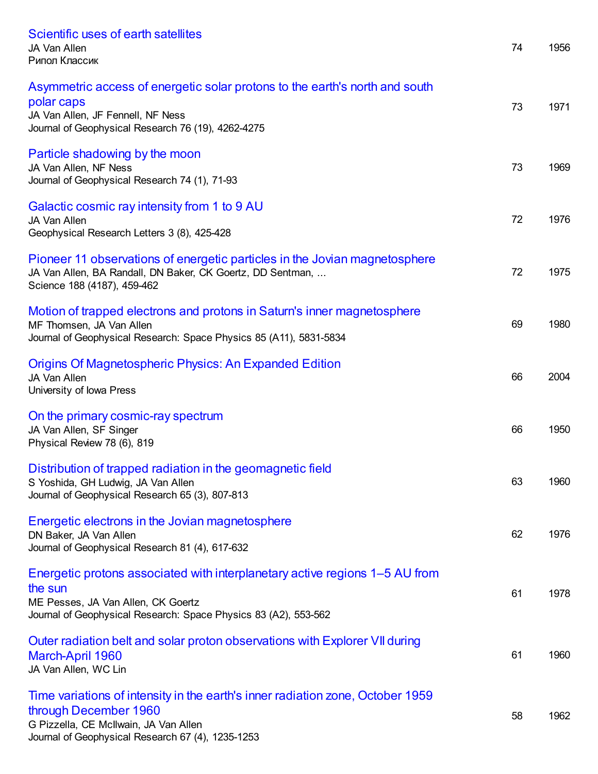| Scientific uses of earth satellites<br>JA Van Allen<br>Рипол Классик                                                                                                                                  | 74 | 1956 |
|-------------------------------------------------------------------------------------------------------------------------------------------------------------------------------------------------------|----|------|
| Asymmetric access of energetic solar protons to the earth's north and south<br>polar caps<br>JA Van Allen, JF Fennell, NF Ness<br>Journal of Geophysical Research 76 (19), 4262-4275                  | 73 | 1971 |
| Particle shadowing by the moon<br>JA Van Allen, NF Ness<br>Journal of Geophysical Research 74 (1), 71-93                                                                                              | 73 | 1969 |
| Galactic cosmic ray intensity from 1 to 9 AU<br>JA Van Allen<br>Geophysical Research Letters 3 (8), 425-428                                                                                           | 72 | 1976 |
| Pioneer 11 observations of energetic particles in the Jovian magnetosphere<br>JA Van Allen, BA Randall, DN Baker, CK Goertz, DD Sentman,<br>Science 188 (4187), 459-462                               | 72 | 1975 |
| Motion of trapped electrons and protons in Saturn's inner magnetosphere<br>MF Thomsen, JA Van Allen<br>Journal of Geophysical Research: Space Physics 85 (A11), 5831-5834                             | 69 | 1980 |
| <b>Origins Of Magnetospheric Physics: An Expanded Edition</b><br>JA Van Allen<br>University of Iowa Press                                                                                             | 66 | 2004 |
| On the primary cosmic-ray spectrum<br>JA Van Allen, SF Singer<br>Physical Review 78 (6), 819                                                                                                          | 66 | 1950 |
| Distribution of trapped radiation in the geomagnetic field<br>S Yoshida, GH Ludwig, JA Van Allen<br>Journal of Geophysical Research 65 (3), 807-813                                                   | 63 | 1960 |
| Energetic electrons in the Jovian magnetosphere<br>DN Baker, JA Van Allen<br>Journal of Geophysical Research 81 (4), 617-632                                                                          | 62 | 1976 |
| Energetic protons associated with interplanetary active regions 1–5 AU from<br>the sun<br>ME Pesses, JA Van Allen, CK Goertz<br>Journal of Geophysical Research: Space Physics 83 (A2), 553-562       | 61 | 1978 |
| Outer radiation belt and solar proton observations with Explorer VII during<br>March-April 1960<br>JA Van Allen, WC Lin                                                                               | 61 | 1960 |
| Time variations of intensity in the earth's inner radiation zone, October 1959<br>through December 1960<br>G Pizzella, CE McIlwain, JA Van Allen<br>Journal of Geophysical Research 67 (4), 1235-1253 | 58 | 1962 |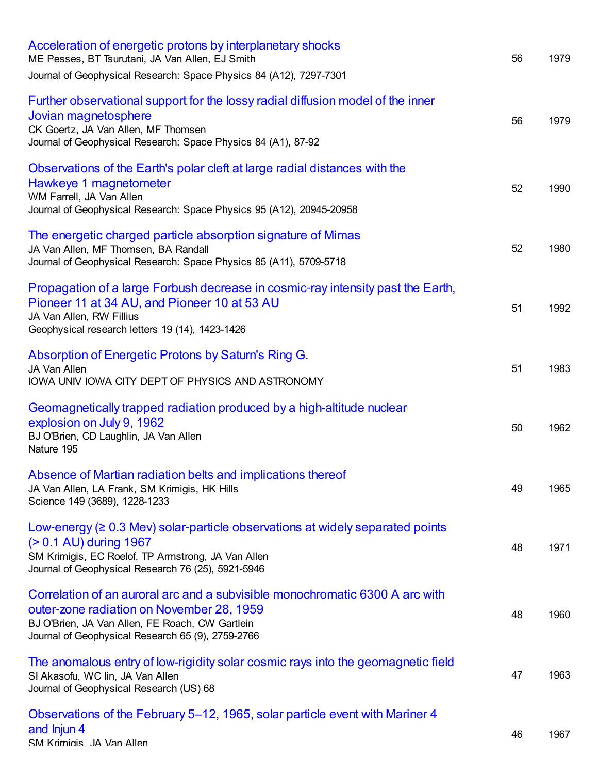| Acceleration of energetic protons by interplanetary shocks<br>ME Pesses, BT Tsurutani, JA Van Allen, EJ Smith<br>Journal of Geophysical Research: Space Physics 84 (A12), 7297-7301                                               | 56 | 1979 |
|-----------------------------------------------------------------------------------------------------------------------------------------------------------------------------------------------------------------------------------|----|------|
| Further observational support for the lossy radial diffusion model of the inner<br>Jovian magnetosphere<br>CK Goertz, JA Van Allen, MF Thomsen<br>Journal of Geophysical Research: Space Physics 84 (A1), 87-92                   | 56 | 1979 |
| Observations of the Earth's polar cleft at large radial distances with the<br>Hawkeye 1 magnetometer<br>WM Farrell, JA Van Allen<br>Journal of Geophysical Research: Space Physics 95 (A12), 20945-20958                          | 52 | 1990 |
| The energetic charged particle absorption signature of Mimas<br>JA Van Allen, MF Thomsen, BA Randall<br>Journal of Geophysical Research: Space Physics 85 (A11), 5709-5718                                                        | 52 | 1980 |
| Propagation of a large Forbush decrease in cosmic-ray intensity past the Earth,<br>Pioneer 11 at 34 AU, and Pioneer 10 at 53 AU<br>JA Van Allen, RW Fillius<br>Geophysical research letters 19 (14), 1423-1426                    | 51 | 1992 |
| Absorption of Energetic Protons by Saturn's Ring G.<br>JA Van Allen<br>IOWA UNIV IOWA CITY DEPT OF PHYSICS AND ASTRONOMY                                                                                                          | 51 | 1983 |
| Geomagnetically trapped radiation produced by a high-altitude nuclear<br>explosion on July 9, 1962<br>BJ O'Brien, CD Laughlin, JA Van Allen<br>Nature 195                                                                         | 50 | 1962 |
| Absence of Martian radiation belts and implications thereof<br>JA Van Allen, LA Frank, SM Krimigis, HK Hills<br>Science 149 (3689), 1228-1233                                                                                     | 49 | 1965 |
| Low-energy $( \geq 0.3$ Mev) solar-particle observations at widely separated points<br>(> 0.1 AU) during 1967<br>SM Krimigis, EC Roelof, TP Armstrong, JA Van Allen<br>Journal of Geophysical Research 76 (25), 5921-5946         | 48 | 1971 |
| Correlation of an auroral arc and a subvisible monochromatic 6300 A arc with<br>outer-zone radiation on November 28, 1959<br>BJ O'Brien, JA Van Allen, FE Roach, CW Gartlein<br>Journal of Geophysical Research 65 (9), 2759-2766 | 48 | 1960 |
| The anomalous entry of low-rigidity solar cosmic rays into the geomagnetic field<br>SI Akasofu, WC lin, JA Van Allen<br>Journal of Geophysical Research (US) 68                                                                   | 47 | 1963 |
| Observations of the February 5–12, 1965, solar particle event with Mariner 4<br>and Injun 4<br>SM Krimiais. JA Van Allen                                                                                                          | 46 | 1967 |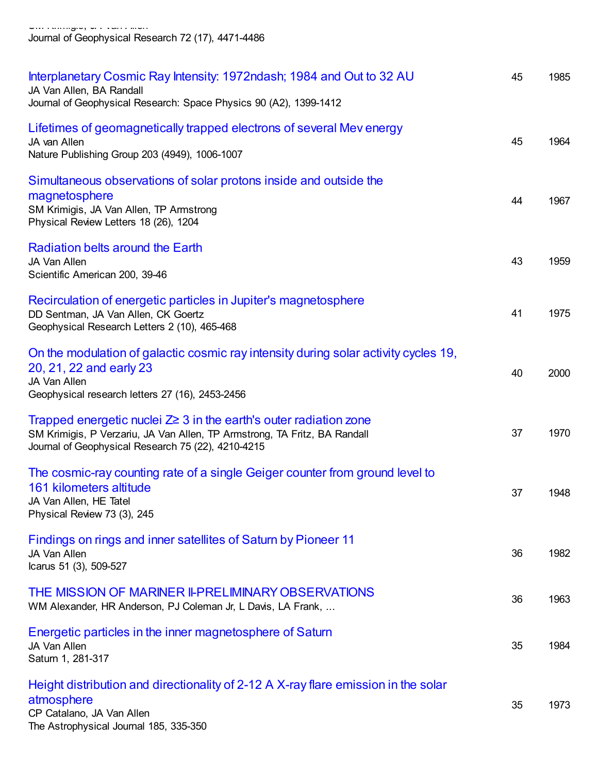SM Krimigis, JA Van Allen Journal of Geophysical Research 72 (17), 4471-4486

| Interplanetary Cosmic Ray Intensity: 1972ndash; 1984 and Out to 32 AU<br>JA Van Allen, BA Randall<br>Journal of Geophysical Research: Space Physics 90 (A2), 1399-1412                                     | 45 | 1985 |
|------------------------------------------------------------------------------------------------------------------------------------------------------------------------------------------------------------|----|------|
| Lifetimes of geomagnetically trapped electrons of several Mev energy<br>JA van Allen<br>Nature Publishing Group 203 (4949), 1006-1007                                                                      | 45 | 1964 |
| Simultaneous observations of solar protons inside and outside the<br>magnetosphere<br>SM Krimigis, JA Van Allen, TP Armstrong<br>Physical Review Letters 18 (26), 1204                                     | 44 | 1967 |
| Radiation belts around the Earth<br>JA Van Allen<br>Scientific American 200, 39-46                                                                                                                         | 43 | 1959 |
| Recirculation of energetic particles in Jupiter's magnetosphere<br>DD Sentman, JA Van Allen, CK Goertz<br>Geophysical Research Letters 2 (10), 465-468                                                     | 41 | 1975 |
| On the modulation of galactic cosmic ray intensity during solar activity cycles 19,<br>20, 21, 22 and early 23<br>JA Van Allen<br>Geophysical research letters 27 (16), 2453-2456                          | 40 | 2000 |
| Trapped energetic nuclei $Z \geq 3$ in the earth's outer radiation zone<br>SM Krimigis, P Verzariu, JA Van Allen, TP Armstrong, TA Fritz, BA Randall<br>Journal of Geophysical Research 75 (22), 4210-4215 | 37 | 1970 |
| The cosmic-ray counting rate of a single Geiger counter from ground level to<br>161 kilometers altitude<br>JA Van Allen, HE Tatel<br>Physical Review 73 (3), 245                                           | 37 | 1948 |
| Findings on rings and inner satellites of Saturn by Pioneer 11<br>JA Van Allen<br>Icarus 51 (3), 509-527                                                                                                   | 36 | 1982 |
| THE MISSION OF MARINER II-PRELIMINARY OBSERVATIONS<br>WM Alexander, HR Anderson, PJ Coleman Jr, L Davis, LA Frank,                                                                                         | 36 | 1963 |
| Energetic particles in the inner magnetosphere of Saturn<br>JA Van Allen<br>Saturn 1, 281-317                                                                                                              | 35 | 1984 |
| Height distribution and directionality of 2-12 A X-ray flare emission in the solar<br>atmosphere<br>CP Catalano, JA Van Allen<br>The Astrophysical Journal 185, 335-350                                    | 35 | 1973 |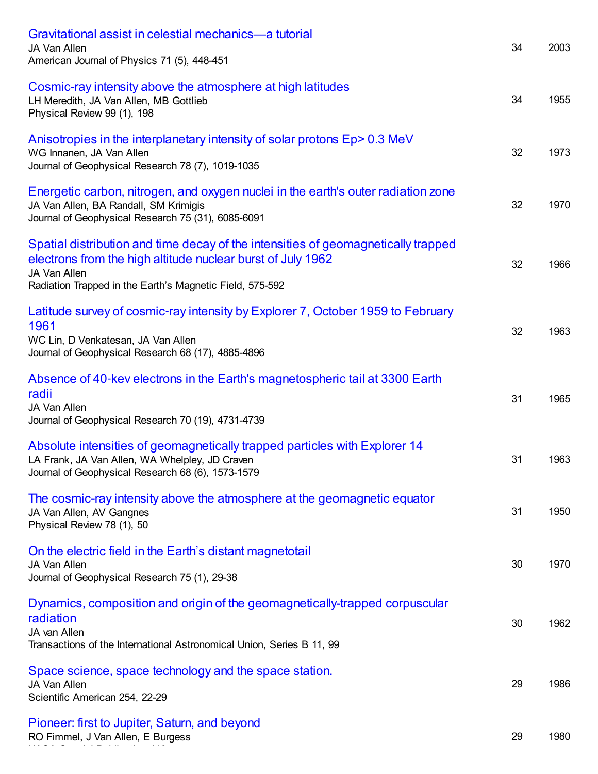| Gravitational assist in celestial mechanics—a tutorial<br>JA Van Allen<br>American Journal of Physics 71 (5), 448-451                                                                                                        | 34 | 2003 |
|------------------------------------------------------------------------------------------------------------------------------------------------------------------------------------------------------------------------------|----|------|
| Cosmic-ray intensity above the atmosphere at high latitudes<br>LH Meredith, JA Van Allen, MB Gottlieb<br>Physical Review 99 (1), 198                                                                                         | 34 | 1955 |
| Anisotropies in the interplanetary intensity of solar protons Ep > 0.3 MeV<br>WG Innanen, JA Van Allen<br>Journal of Geophysical Research 78 (7), 1019-1035                                                                  | 32 | 1973 |
| Energetic carbon, nitrogen, and oxygen nuclei in the earth's outer radiation zone<br>JA Van Allen, BA Randall, SM Krimigis<br>Journal of Geophysical Research 75 (31), 6085-6091                                             | 32 | 1970 |
| Spatial distribution and time decay of the intensities of geomagnetically trapped<br>electrons from the high altitude nuclear burst of July 1962<br>JA Van Allen<br>Radiation Trapped in the Earth's Magnetic Field, 575-592 | 32 | 1966 |
| Latitude survey of cosmic-ray intensity by Explorer 7, October 1959 to February<br>1961<br>WC Lin, D Venkatesan, JA Van Allen<br>Journal of Geophysical Research 68 (17), 4885-4896                                          | 32 | 1963 |
| Absence of 40-kev electrons in the Earth's magnetospheric tail at 3300 Earth<br>radii<br>JA Van Allen<br>Journal of Geophysical Research 70 (19), 4731-4739                                                                  | 31 | 1965 |
| Absolute intensities of geomagnetically trapped particles with Explorer 14<br>LA Frank, JA Van Allen, WA Whelpley, JD Craven<br>Journal of Geophysical Research 68 (6), 1573-1579                                            | 31 | 1963 |
| The cosmic-ray intensity above the atmosphere at the geomagnetic equator<br>JA Van Allen, AV Gangnes<br>Physical Review 78 (1), 50                                                                                           | 31 | 1950 |
| On the electric field in the Earth's distant magnetotail<br>JA Van Allen<br>Journal of Geophysical Research 75 (1), 29-38                                                                                                    | 30 | 1970 |
| Dynamics, composition and origin of the geomagnetically-trapped corpuscular<br>radiation<br>JA van Allen<br>Transactions of the International Astronomical Union, Series B 11, 99                                            | 30 | 1962 |
| Space science, space technology and the space station.<br>JA Van Allen<br>Scientific American 254, 22-29                                                                                                                     | 29 | 1986 |
| Pioneer: first to Jupiter, Saturn, and beyond<br>RO Fimmel, J Van Allen, E Burgess                                                                                                                                           | 29 | 1980 |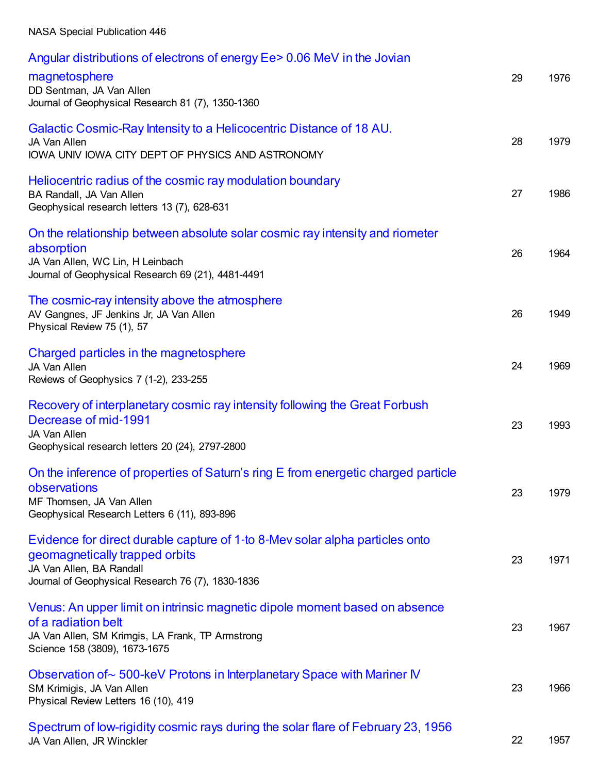#### NASA Special Publication 446

| Angular distributions of electrons of energy Ee > 0.06 MeV in the Jovian                                                                                                                        |    |      |
|-------------------------------------------------------------------------------------------------------------------------------------------------------------------------------------------------|----|------|
| magnetosphere<br>DD Sentman, JA Van Allen<br>Journal of Geophysical Research 81 (7), 1350-1360                                                                                                  | 29 | 1976 |
| Galactic Cosmic-Ray Intensity to a Helicocentric Distance of 18 AU.<br>JA Van Allen<br>IOWA UNIV IOWA CITY DEPT OF PHYSICS AND ASTRONOMY                                                        | 28 | 1979 |
| Heliocentric radius of the cosmic ray modulation boundary<br>BA Randall, JA Van Allen<br>Geophysical research letters 13 (7), 628-631                                                           | 27 | 1986 |
| On the relationship between absolute solar cosmic ray intensity and riometer<br>absorption<br>JA Van Allen, WC Lin, H Leinbach<br>Journal of Geophysical Research 69 (21), 4481-4491            | 26 | 1964 |
| The cosmic-ray intensity above the atmosphere<br>AV Gangnes, JF Jenkins Jr, JA Van Allen<br>Physical Review 75 (1), 57                                                                          | 26 | 1949 |
| Charged particles in the magnetosphere<br>JA Van Allen<br>Reviews of Geophysics 7 (1-2), 233-255                                                                                                | 24 | 1969 |
| Recovery of interplanetary cosmic ray intensity following the Great Forbush<br>Decrease of mid-1991<br>JA Van Allen<br>Geophysical research letters 20 (24), 2797-2800                          | 23 | 1993 |
| On the inference of properties of Saturn's ring E from energetic charged particle<br>observations<br>MF Thomsen, JA Van Allen<br>Geophysical Research Letters 6 (11), 893-896                   | 23 | 1979 |
| Evidence for direct durable capture of 1-to 8-Mey solar alpha particles onto<br>geomagnetically trapped orbits<br>JA Van Allen, BA Randall<br>Journal of Geophysical Research 76 (7), 1830-1836 | 23 | 1971 |
| Venus: An upper limit on intrinsic magnetic dipole moment based on absence<br>of a radiation belt<br>JA Van Allen, SM Krimgis, LA Frank, TP Armstrong<br>Science 158 (3809), 1673-1675          | 23 | 1967 |
| Observation of $\sim$ 500-keV Protons in Interplanetary Space with Mariner IV<br>SM Krimigis, JA Van Allen<br>Physical Review Letters 16 (10), 419                                              | 23 | 1966 |
| Spectrum of low-rigidity cosmic rays during the solar flare of February 23, 1956<br>JA Van Allen, JR Winckler                                                                                   | 22 | 1957 |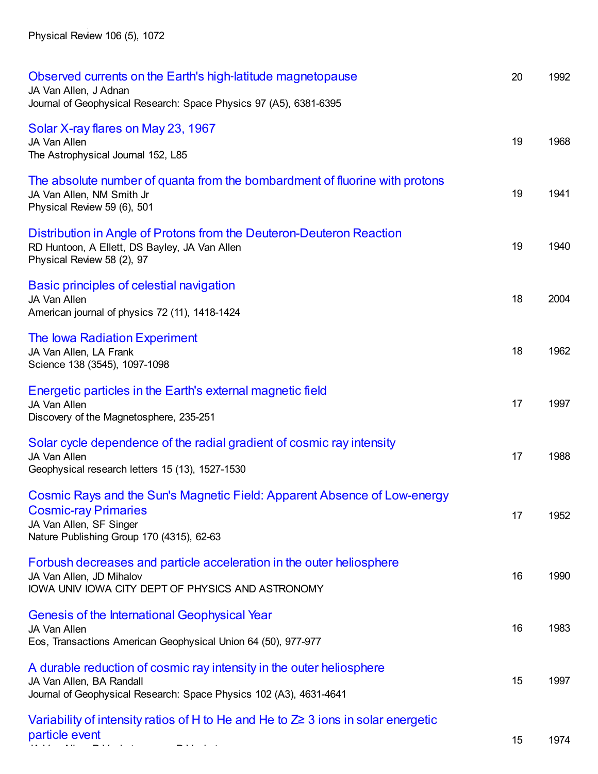Physical Review 106 (5), 1072

JA Van Allen, JR Winckler

| Observed currents on the Earth's high-latitude magnetopause<br>JA Van Allen, J Adnan<br>Journal of Geophysical Research: Space Physics 97 (A5), 6381-6395                       | 20 | 1992 |
|---------------------------------------------------------------------------------------------------------------------------------------------------------------------------------|----|------|
| Solar X-ray flares on May 23, 1967<br>JA Van Allen<br>The Astrophysical Journal 152, L85                                                                                        | 19 | 1968 |
| The absolute number of quanta from the bombardment of fluorine with protons<br>JA Van Allen, NM Smith Jr<br>Physical Review 59 (6), 501                                         | 19 | 1941 |
| Distribution in Angle of Protons from the Deuteron-Deuteron Reaction<br>RD Huntoon, A Ellett, DS Bayley, JA Van Allen<br>Physical Review 58 (2), 97                             | 19 | 1940 |
| Basic principles of celestial navigation<br>JA Van Allen<br>American journal of physics 72 (11), 1418-1424                                                                      | 18 | 2004 |
| The lowa Radiation Experiment<br>JA Van Allen, LA Frank<br>Science 138 (3545), 1097-1098                                                                                        | 18 | 1962 |
| Energetic particles in the Earth's external magnetic field<br>JA Van Allen<br>Discovery of the Magnetosphere, 235-251                                                           | 17 | 1997 |
| Solar cycle dependence of the radial gradient of cosmic ray intensity<br>JA Van Allen<br>Geophysical research letters 15 (13), 1527-1530                                        | 17 | 1988 |
| Cosmic Rays and the Sun's Magnetic Field: Apparent Absence of Low-energy<br><b>Cosmic-ray Primaries</b><br>JA Van Allen, SF Singer<br>Nature Publishing Group 170 (4315), 62-63 | 17 | 1952 |
| Forbush decreases and particle acceleration in the outer heliosphere<br>JA Van Allen, JD Mihalov<br>IOWA UNIV IOWA CITY DEPT OF PHYSICS AND ASTRONOMY                           | 16 | 1990 |
| <b>Genesis of the International Geophysical Year</b><br><b>JA Van Allen</b><br>Eos, Transactions American Geophysical Union 64 (50), 977-977                                    | 16 | 1983 |
| A durable reduction of cosmic ray intensity in the outer heliosphere<br>JA Van Allen, BA Randall<br>Journal of Geophysical Research: Space Physics 102 (A3), 4631-4641          | 15 | 1997 |
| Variability of intensity ratios of H to He and He to $\mathbb{Z}^{\geq}$ 3 ions in solar energetic<br>particle event                                                            | 15 | 1974 |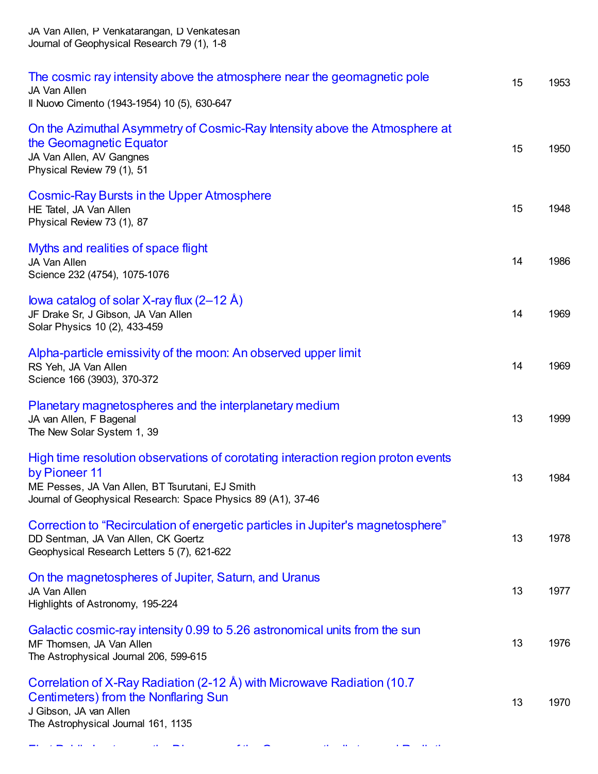| The cosmic ray intensity above the atmosphere near the geomagnetic pole<br>JA Van Allen<br>Il Nuovo Cimento (1943-1954) 10 (5), 630-647                                                                               | 15 | 1953 |
|-----------------------------------------------------------------------------------------------------------------------------------------------------------------------------------------------------------------------|----|------|
| On the Azimuthal Asymmetry of Cosmic-Ray Intensity above the Atmosphere at<br>the Geomagnetic Equator<br>JA Van Allen, AV Gangnes<br>Physical Review 79 (1), 51                                                       | 15 | 1950 |
| <b>Cosmic-Ray Bursts in the Upper Atmosphere</b><br>HE Tatel, JA Van Allen<br>Physical Review 73 (1), 87                                                                                                              | 15 | 1948 |
| Myths and realities of space flight<br>JA Van Allen<br>Science 232 (4754), 1075-1076                                                                                                                                  | 14 | 1986 |
| lowa catalog of solar X-ray flux $(2-12 \text{ Å})$<br>JF Drake Sr, J Gibson, JA Van Allen<br>Solar Physics 10 (2), 433-459                                                                                           | 14 | 1969 |
| Alpha-particle emissivity of the moon: An observed upper limit<br>RS Yeh, JA Van Allen<br>Science 166 (3903), 370-372                                                                                                 | 14 | 1969 |
| Planetary magnetospheres and the interplanetary medium<br>JA van Allen, F Bagenal<br>The New Solar System 1, 39                                                                                                       | 13 | 1999 |
| High time resolution observations of corotating interaction region proton events<br>by Pioneer 11<br>ME Pesses, JA Van Allen, BT Tsurutani, EJ Smith<br>Journal of Geophysical Research: Space Physics 89 (A1), 37-46 | 13 | 1984 |
| Correction to "Recirculation of energetic particles in Jupiter's magnetosphere"<br>DD Sentman, JA Van Allen, CK Goertz<br>Geophysical Research Letters 5 (7), 621-622                                                 | 13 | 1978 |
| On the magnetospheres of Jupiter, Saturn, and Uranus<br>JA Van Allen<br>Highlights of Astronomy, 195-224                                                                                                              | 13 | 1977 |
| Galactic cosmic-ray intensity 0.99 to 5.26 astronomical units from the sun<br>MF Thomsen, JA Van Allen<br>The Astrophysical Journal 206, 599-615                                                                      | 13 | 1976 |
| Correlation of X-Ray Radiation (2-12 Å) with Microwave Radiation (10.7<br><b>Centimeters) from the Nonflaring Sun</b><br>J Gibson, JA van Allen<br>The Astrophysical Journal 161, 1135                                | 13 | 1970 |

JA Van Allen, P Venkatarangan, D Venkatesan Journal of Geophysical Research 79 (1), 1-8

First Public Lecture on the Discovery of the [Geomagnetically-trapped](https://scholar.google.com/citations?view_op=view_citation&hl=en&user=ErFeWdEAAAAJ&cstart=100&pagesize=100&citation_for_view=ErFeWdEAAAAJ:9mnZQYLiiboC) Radiation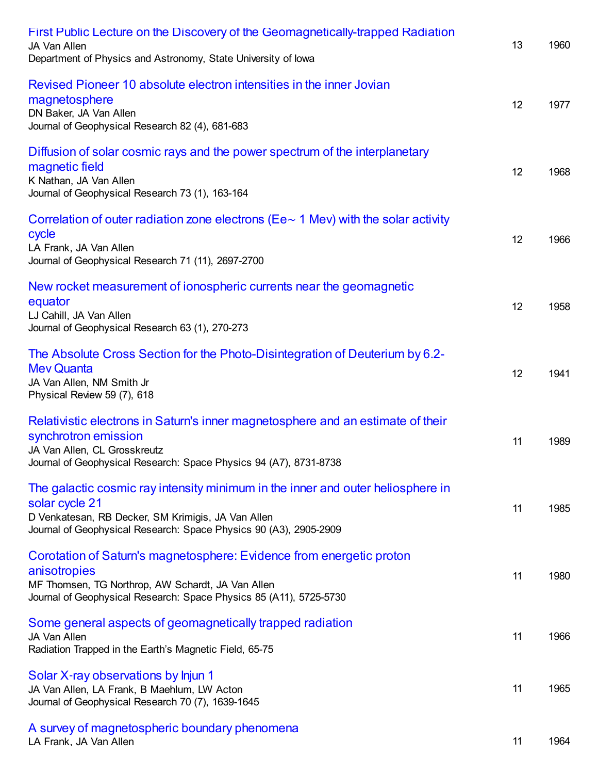| <b>First Public Lecture on the Discovery of the Geomagnetically-trapped Radiation</b><br>JA Van Allen<br>Department of Physics and Astronomy, State University of lowa                                                       | 13 | 1960 |
|------------------------------------------------------------------------------------------------------------------------------------------------------------------------------------------------------------------------------|----|------|
| Revised Pioneer 10 absolute electron intensities in the inner Jovian<br>magnetosphere<br>DN Baker, JA Van Allen<br>Journal of Geophysical Research 82 (4), 681-683                                                           | 12 | 1977 |
| Diffusion of solar cosmic rays and the power spectrum of the interplanetary<br>magnetic field<br>K Nathan, JA Van Allen<br>Journal of Geophysical Research 73 (1), 163-164                                                   | 12 | 1968 |
| Correlation of outer radiation zone electrons (Ee $\sim$ 1 Mev) with the solar activity<br>cycle<br>LA Frank, JA Van Allen<br>Journal of Geophysical Research 71 (11), 2697-2700                                             | 12 | 1966 |
| New rocket measurement of ionospheric currents near the geomagnetic<br>equator<br>LJ Cahill, JA Van Allen<br>Journal of Geophysical Research 63 (1), 270-273                                                                 | 12 | 1958 |
| The Absolute Cross Section for the Photo-Disintegration of Deuterium by 6.2-<br><b>Mev Quanta</b><br>JA Van Allen, NM Smith Jr<br>Physical Review 59 (7), 618                                                                | 12 | 1941 |
| Relativistic electrons in Saturn's inner magnetosphere and an estimate of their<br>synchrotron emission<br>JA Van Allen, CL Grosskreutz<br>Journal of Geophysical Research: Space Physics 94 (A7), 8731-8738                 | 11 | 1989 |
| The galactic cosmic ray intensity minimum in the inner and outer heliosphere in<br>solar cycle 21<br>D Venkatesan, RB Decker, SM Krimigis, JA Van Allen<br>Journal of Geophysical Research: Space Physics 90 (A3), 2905-2909 | 11 | 1985 |
| Corotation of Saturn's magnetosphere: Evidence from energetic proton<br>anisotropies<br>MF Thomsen, TG Northrop, AW Schardt, JA Van Allen<br>Journal of Geophysical Research: Space Physics 85 (A11), 5725-5730              | 11 | 1980 |
| Some general aspects of geomagnetically trapped radiation<br>JA Van Allen<br>Radiation Trapped in the Earth's Magnetic Field, 65-75                                                                                          | 11 | 1966 |
| Solar X-ray observations by Injun 1<br>JA Van Allen, LA Frank, B Maehlum, LW Acton<br>Journal of Geophysical Research 70 (7), 1639-1645                                                                                      | 11 | 1965 |
| A survey of magnetospheric boundary phenomena<br>LA Frank, JA Van Allen                                                                                                                                                      | 11 | 1964 |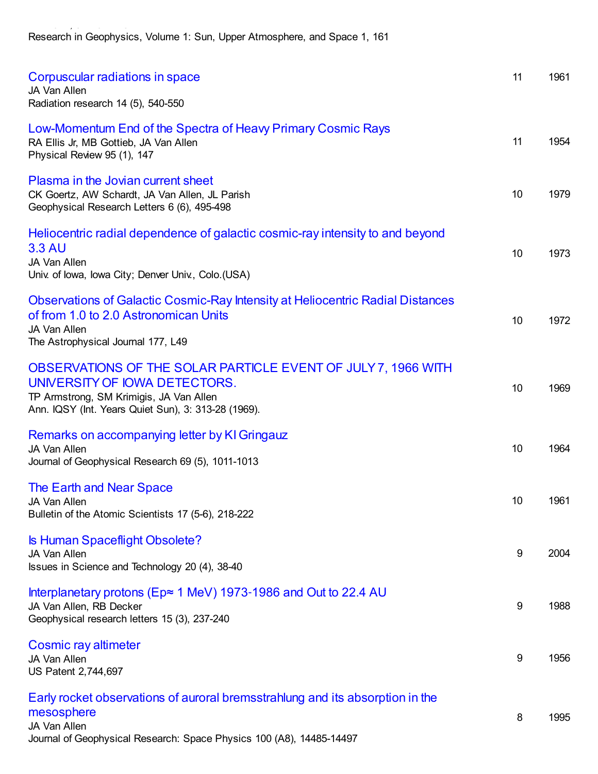Research in Geophysics, Volume 1: Sun, Upper Atmosphere, and Space 1, 161

LA Frank, JA Van Allen

| Corpuscular radiations in space<br>JA Van Allen<br>Radiation research 14 (5), 540-550                                                                                                            | 11               | 1961 |
|--------------------------------------------------------------------------------------------------------------------------------------------------------------------------------------------------|------------------|------|
| Low-Momentum End of the Spectra of Heavy Primary Cosmic Rays<br>RA Ellis Jr, MB Gottieb, JA Van Allen<br>Physical Review 95 (1), 147                                                             | 11               | 1954 |
| Plasma in the Jovian current sheet<br>CK Goertz, AW Schardt, JA Van Allen, JL Parish<br>Geophysical Research Letters 6 (6), 495-498                                                              | 10               | 1979 |
| Heliocentric radial dependence of galactic cosmic-ray intensity to and beyond<br><b>3.3 AU</b><br>JA Van Allen<br>Univ. of Iowa, Iowa City; Denver Univ., Colo.(USA)                             | 10               | 1973 |
| <b>Observations of Galactic Cosmic-Ray Intensity at Heliocentric Radial Distances</b><br>of from 1.0 to 2.0 Astronomican Units<br>JA Van Allen<br>The Astrophysical Journal 177, L49             | 10               | 1972 |
| OBSERVATIONS OF THE SOLAR PARTICLE EVENT OF JULY 7, 1966 WITH<br>UNIVERSITY OF IOWA DETECTORS.<br>TP Armstrong, SM Krimigis, JA Van Allen<br>Ann. IQSY (Int. Years Quiet Sun), 3: 313-28 (1969). | 10               | 1969 |
| Remarks on accompanying letter by KI Gringauz<br>JA Van Allen<br>Journal of Geophysical Research 69 (5), 1011-1013                                                                               | 10               | 1964 |
| The Earth and Near Space<br>JA Van Allen<br>Bulletin of the Atomic Scientists 17 (5-6), 218-222                                                                                                  | 10               | 1961 |
| Is Human Spaceflight Obsolete?<br>JA Van Allen<br>Issues in Science and Technology 20 (4), 38-40                                                                                                 | 9                | 2004 |
| Interplanetary protons (Ep≈ 1 MeV) 1973-1986 and Out to 22.4 AU<br>JA Van Allen, RB Decker<br>Geophysical research letters 15 (3), 237-240                                                       | 9                | 1988 |
| Cosmic ray altimeter<br>JA Van Allen<br>US Patent 2,744,697                                                                                                                                      | $\boldsymbol{9}$ | 1956 |
| Early rocket observations of auroral bremsstrahlung and its absorption in the<br>mesosphere<br>JA Van Allen<br>Journal of Geophysical Research: Space Physics 100 (A8), 14485-14497              | 8                | 1995 |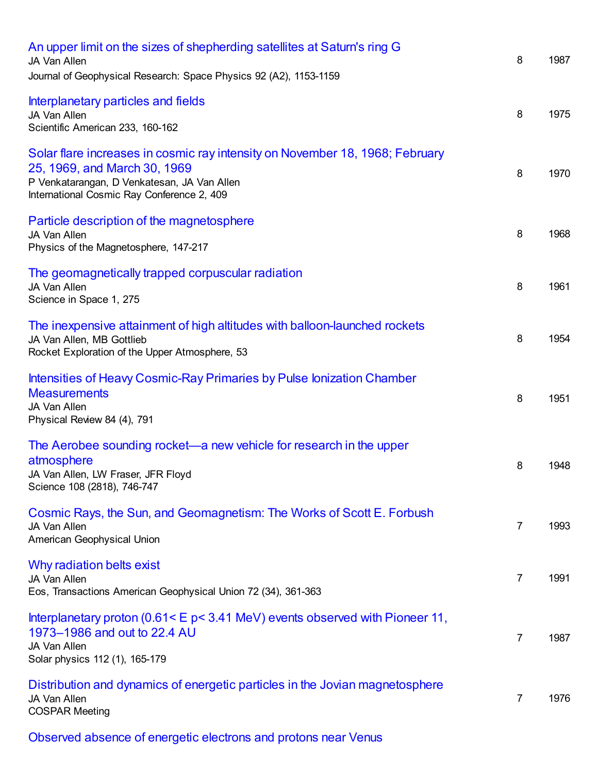| An upper limit on the sizes of shepherding satellites at Saturn's ring G<br>JA Van Allen<br>Journal of Geophysical Research: Space Physics 92 (A2), 1153-1159                                             | 8              | 1987 |
|-----------------------------------------------------------------------------------------------------------------------------------------------------------------------------------------------------------|----------------|------|
| Interplanetary particles and fields<br>JA Van Allen<br>Scientific American 233, 160-162                                                                                                                   | 8              | 1975 |
| Solar flare increases in cosmic ray intensity on November 18, 1968; February<br>25, 1969, and March 30, 1969<br>P Venkatarangan, D Venkatesan, JA Van Allen<br>International Cosmic Ray Conference 2, 409 | 8              | 1970 |
| Particle description of the magnetosphere<br>JA Van Allen<br>Physics of the Magnetosphere, 147-217                                                                                                        | 8              | 1968 |
| The geomagnetically trapped corpuscular radiation<br>JA Van Allen<br>Science in Space 1, 275                                                                                                              | 8              | 1961 |
| The inexpensive attainment of high altitudes with balloon-launched rockets<br>JA Van Allen, MB Gottlieb<br>Rocket Exploration of the Upper Atmosphere, 53                                                 | 8              | 1954 |
| Intensities of Heavy Cosmic-Ray Primaries by Pulse Ionization Chamber<br><b>Measurements</b><br>JA Van Allen<br>Physical Review 84 (4), 791                                                               | 8              | 1951 |
| The Aerobee sounding rocket—a new vehicle for research in the upper<br>atmosphere<br>JA Van Allen, LW Fraser, JFR Floyd<br>Science 108 (2818), 746-747                                                    | 8              | 1948 |
| Cosmic Rays, the Sun, and Geomagnetism: The Works of Scott E. Forbush<br>JA Van Allen<br>American Geophysical Union                                                                                       | $\overline{7}$ | 1993 |
| Why radiation belts exist<br>JA Van Allen<br>Eos, Transactions American Geophysical Union 72 (34), 361-363                                                                                                | 7              | 1991 |
| Interplanetary proton $(0.61 < E p < 3.41$ MeV) events observed with Pioneer 11,<br>1973-1986 and out to 22.4 AU<br>JA Van Allen<br>Solar physics 112 (1), 165-179                                        | $\overline{7}$ | 1987 |
| Distribution and dynamics of energetic particles in the Jovian magnetosphere<br>JA Van Allen<br><b>COSPAR Meeting</b>                                                                                     | 7              | 1976 |
| Observed absence of energetic electrons and protons near Venus                                                                                                                                            |                |      |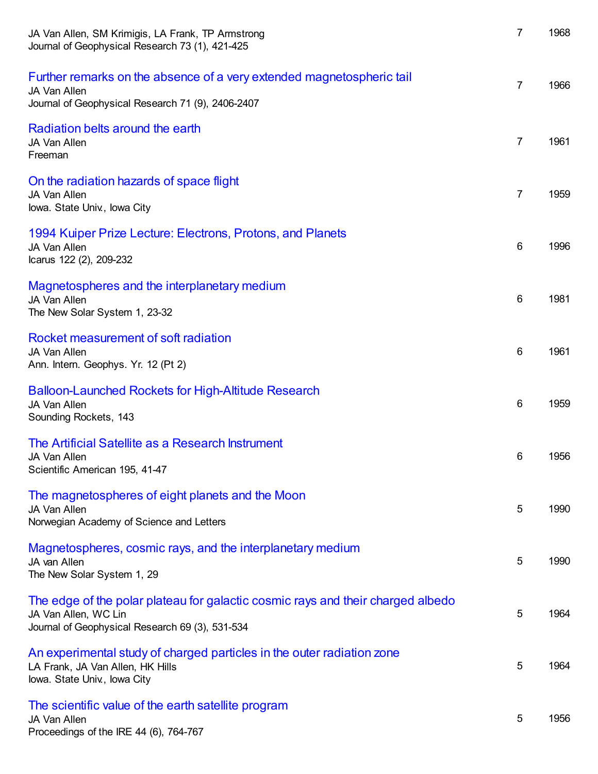| JA Van Allen, SM Krimigis, LA Frank, TP Armstrong<br>Journal of Geophysical Research 73 (1), 421-425                                                       | 7               | 1968 |
|------------------------------------------------------------------------------------------------------------------------------------------------------------|-----------------|------|
| Further remarks on the absence of a very extended magnetospheric tail<br>JA Van Allen<br>Journal of Geophysical Research 71 (9), 2406-2407                 | 7               | 1966 |
| Radiation belts around the earth<br>JA Van Allen<br>Freeman                                                                                                | 7               | 1961 |
| On the radiation hazards of space flight<br>JA Van Allen<br>lowa. State Univ., lowa City                                                                   | 7               | 1959 |
| 1994 Kuiper Prize Lecture: Electrons, Protons, and Planets<br>JA Van Allen<br>Icarus 122 (2), 209-232                                                      | $6\phantom{1}6$ | 1996 |
| Magnetospheres and the interplanetary medium<br>JA Van Allen<br>The New Solar System 1, 23-32                                                              | $6\phantom{1}6$ | 1981 |
| Rocket measurement of soft radiation<br>JA Van Allen<br>Ann. Intern. Geophys. Yr. 12 (Pt 2)                                                                | $6\phantom{1}6$ | 1961 |
| <b>Balloon-Launched Rockets for High-Altitude Research</b><br>JA Van Allen<br>Sounding Rockets, 143                                                        | $6\phantom{1}6$ | 1959 |
| The Artificial Satellite as a Research Instrument<br>JA Van Allen<br>Scientific American 195, 41-47                                                        | 6               | 1956 |
| The magnetospheres of eight planets and the Moon<br>JA Van Allen<br>Norwegian Academy of Science and Letters                                               | 5               | 1990 |
| Magnetospheres, cosmic rays, and the interplanetary medium<br>JA van Allen<br>The New Solar System 1, 29                                                   | 5               | 1990 |
| The edge of the polar plateau for galactic cosmic rays and their charged albedo<br>JA Van Allen, WC Lin<br>Journal of Geophysical Research 69 (3), 531-534 | 5               | 1964 |
| An experimental study of charged particles in the outer radiation zone<br>LA Frank, JA Van Allen, HK Hills<br>lowa. State Univ., lowa City                 | 5               | 1964 |
| The scientific value of the earth satellite program<br>JA Van Allen<br>Proceedings of the IRE 44 (6), 764-767                                              | 5               | 1956 |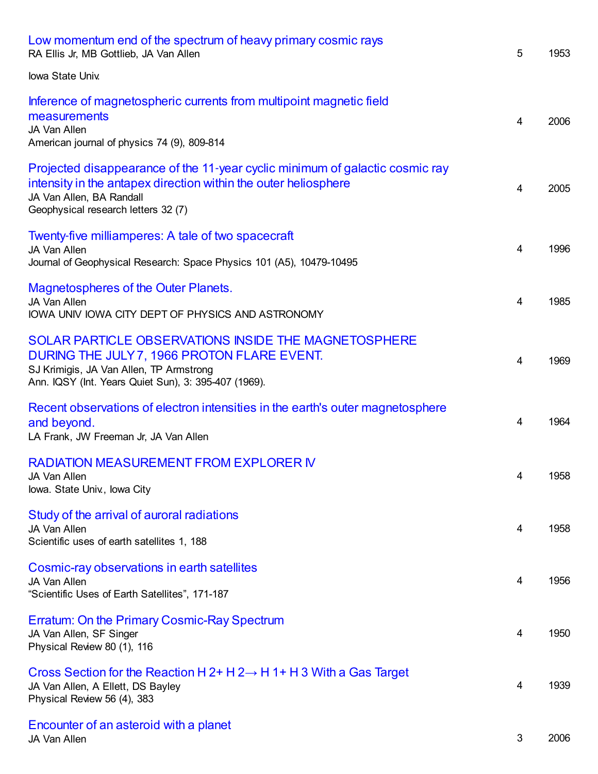| Low momentum end of the spectrum of heavy primary cosmic rays<br>RA Ellis Jr, MB Gottlieb, JA Van Allen                                                                                                            | 5                       | 1953 |
|--------------------------------------------------------------------------------------------------------------------------------------------------------------------------------------------------------------------|-------------------------|------|
| Iowa State Univ.                                                                                                                                                                                                   |                         |      |
| Inference of magnetospheric currents from multipoint magnetic field<br>measurements<br>JA Van Allen<br>American journal of physics 74 (9), 809-814                                                                 | $\overline{4}$          | 2006 |
| Projected disappearance of the 11-year cyclic minimum of galactic cosmic ray<br>intensity in the antapex direction within the outer heliosphere<br>JA Van Allen, BA Randall<br>Geophysical research letters 32 (7) | 4                       | 2005 |
| Twenty-five milliamperes: A tale of two spacecraft<br>JA Van Allen<br>Journal of Geophysical Research: Space Physics 101 (A5), 10479-10495                                                                         | $\overline{4}$          | 1996 |
| Magnetospheres of the Outer Planets.<br>JA Van Allen<br>IOWA UNIV IOWA CITY DEPT OF PHYSICS AND ASTRONOMY                                                                                                          | 4                       | 1985 |
| SOLAR PARTICLE OBSERVATIONS INSIDE THE MAGNETOSPHERE<br>DURING THE JULY 7, 1966 PROTON FLARE EVENT.<br>SJ Krimigis, JA Van Allen, TP Armstrong<br>Ann. IQSY (Int. Years Quiet Sun), 3: 395-407 (1969).             | $\overline{4}$          | 1969 |
| Recent observations of electron intensities in the earth's outer magnetosphere<br>and beyond.<br>LA Frank, JW Freeman Jr, JA Van Allen                                                                             | $\overline{4}$          | 1964 |
| <b>RADIATION MEASUREMENT FROM EXPLORER IV</b><br>JA Van Allen<br>lowa. State Univ., lowa City                                                                                                                      | 4                       | 1958 |
| Study of the arrival of auroral radiations<br>JA Van Allen<br>Scientific uses of earth satellites 1, 188                                                                                                           | 4                       | 1958 |
| Cosmic-ray observations in earth satellites<br>JA Van Allen<br>"Scientific Uses of Earth Satellites", 171-187                                                                                                      | $\overline{\mathbf{4}}$ | 1956 |
| Erratum: On the Primary Cosmic-Ray Spectrum<br>JA Van Allen, SF Singer<br>Physical Review 80 (1), 116                                                                                                              | $\overline{\mathbf{4}}$ | 1950 |
| Cross Section for the Reaction H 2+ H 2 $\rightarrow$ H 1+ H 3 With a Gas Target<br>JA Van Allen, A Ellett, DS Bayley<br>Physical Review 56 (4), 383                                                               | $\overline{4}$          | 1939 |
| Encounter of an asteroid with a planet<br>JA Van Allen                                                                                                                                                             | $\mathfrak{S}$          | 2006 |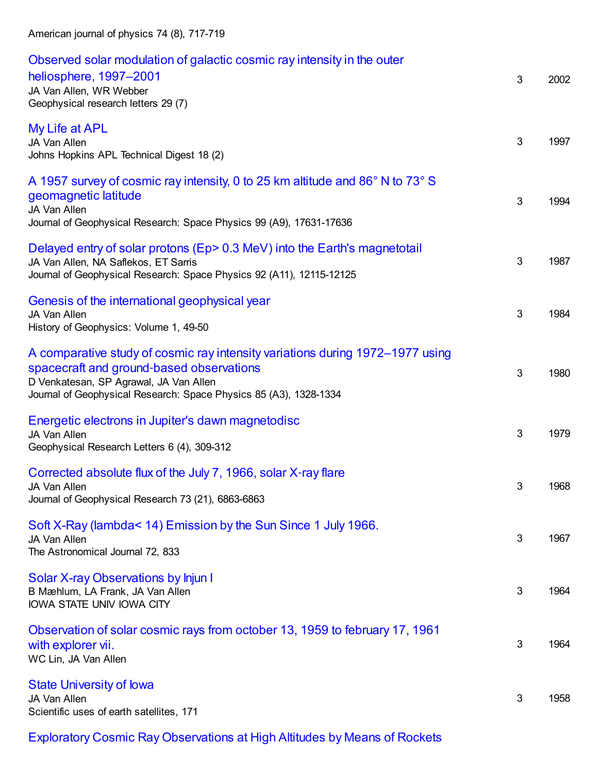| Observed solar modulation of galactic cosmic ray intensity in the outer<br>heliosphere, 1997-2001<br>JA Van Allen, WR Webber<br>Geophysical research letters 29 (7)                                                                      | 3              | 2002 |
|------------------------------------------------------------------------------------------------------------------------------------------------------------------------------------------------------------------------------------------|----------------|------|
| My Life at APL<br>JA Van Allen<br>Johns Hopkins APL Technical Digest 18 (2)                                                                                                                                                              | 3              | 1997 |
| A 1957 survey of cosmic ray intensity, 0 to 25 km altitude and 86° N to 73° S<br>geomagnetic latitude<br>JA Van Allen<br>Journal of Geophysical Research: Space Physics 99 (A9), 17631-17636                                             | 3              | 1994 |
| Delayed entry of solar protons (Ep> 0.3 MeV) into the Earth's magnetotail<br>JA Van Allen, NA Saflekos, ET Sarris<br>Journal of Geophysical Research: Space Physics 92 (A11), 12115-12125                                                | 3              | 1987 |
| Genesis of the international geophysical year<br>JA Van Allen<br>History of Geophysics: Volume 1, 49-50                                                                                                                                  | 3              | 1984 |
| A comparative study of cosmic ray intensity variations during 1972–1977 using<br>spacecraft and ground-based observations<br>D Venkatesan, SP Agrawal, JA Van Allen<br>Journal of Geophysical Research: Space Physics 85 (A3), 1328-1334 | 3              | 1980 |
| Energetic electrons in Jupiter's dawn magnetodisc<br>JA Van Allen<br>Geophysical Research Letters 6 (4), 309-312                                                                                                                         | 3              | 1979 |
| Corrected absolute flux of the July 7, 1966, solar X-ray flare<br>JA Van Allen<br>Journal of Geophysical Research 73 (21), 6863-6863                                                                                                     | 3 <sup>7</sup> | 1968 |
| Soft X-Ray (lambda< 14) Emission by the Sun Since 1 July 1966.<br>JA Van Allen<br>The Astronomical Journal 72, 833                                                                                                                       | 3              | 1967 |
| Solar X-ray Observations by Injun I<br>B Mæhlum, LA Frank, JA Van Allen<br>IOWA STATE UNIV IOWA CITY                                                                                                                                     | 3              | 1964 |
| Observation of solar cosmic rays from october 13, 1959 to february 17, 1961<br>with explorer vii.<br>WC Lin, JA Van Allen                                                                                                                | 3              | 1964 |
| <b>State University of lowa</b><br>JA Van Allen<br>Scientific uses of earth satellites, 171                                                                                                                                              | 3              | 1958 |

Exploratory Cosmic Ray [Observations](https://scholar.google.com/citations?view_op=view_citation&hl=en&user=ErFeWdEAAAAJ&cstart=100&pagesize=100&citation_for_view=ErFeWdEAAAAJ:BulkYocH2doC) at High Altitudes by Means of Rockets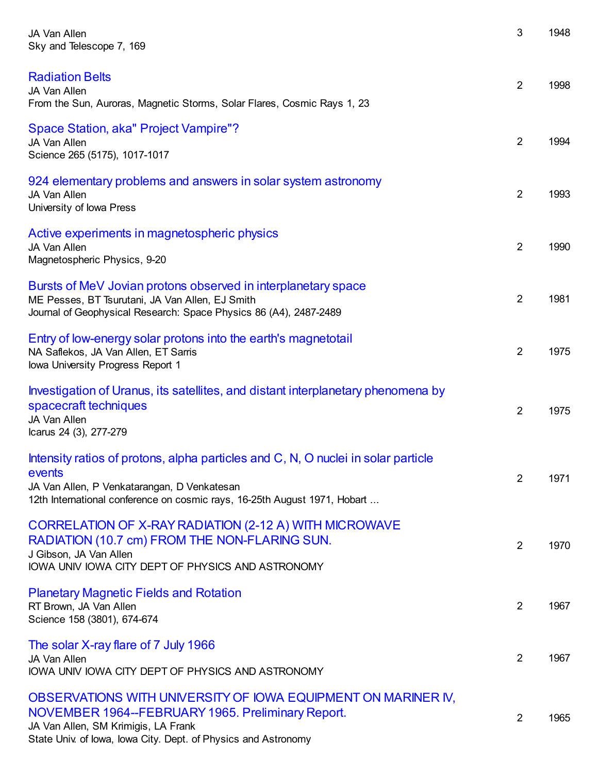| JA Van Allen<br>Sky and Telescope 7, 169                                                                                                                                                                                    | 3              | 1948 |
|-----------------------------------------------------------------------------------------------------------------------------------------------------------------------------------------------------------------------------|----------------|------|
| <b>Radiation Belts</b><br>JA Van Allen<br>From the Sun, Auroras, Magnetic Storms, Solar Flares, Cosmic Rays 1, 23                                                                                                           | $\overline{2}$ | 1998 |
| Space Station, aka" Project Vampire"?<br>JA Van Allen<br>Science 265 (5175), 1017-1017                                                                                                                                      | $\overline{2}$ | 1994 |
| 924 elementary problems and answers in solar system astronomy<br>JA Van Allen<br>University of Iowa Press                                                                                                                   | $\overline{2}$ | 1993 |
| Active experiments in magnetospheric physics<br>JA Van Allen<br>Magnetospheric Physics, 9-20                                                                                                                                | $\overline{2}$ | 1990 |
| Bursts of MeV Jovian protons observed in interplanetary space<br>ME Pesses, BT Tsurutani, JA Van Allen, EJ Smith<br>Journal of Geophysical Research: Space Physics 86 (A4), 2487-2489                                       | $\overline{2}$ | 1981 |
| Entry of low-energy solar protons into the earth's magnetotail<br>NA Saflekos, JA Van Allen, ET Sarris<br>Iowa University Progress Report 1                                                                                 | $\overline{2}$ | 1975 |
| Investigation of Uranus, its satellites, and distant interplanetary phenomena by<br>spacecraft techniques<br>JA Van Allen<br>Icarus 24 (3), 277-279                                                                         | $\overline{2}$ | 1975 |
| Intensity ratios of protons, alpha particles and C, N, O nuclei in solar particle<br>events<br>JA Van Allen, P Venkatarangan, D Venkatesan<br>12th International conference on cosmic rays, 16-25th August 1971, Hobart     | $\overline{2}$ | 1971 |
| CORRELATION OF X-RAY RADIATION (2-12 A) WITH MICROWAVE<br>RADIATION (10.7 cm) FROM THE NON-FLARING SUN.<br>J Gibson, JA Van Allen<br>IOWA UNIV IOWA CITY DEPT OF PHYSICS AND ASTRONOMY                                      | $\overline{2}$ | 1970 |
| <b>Planetary Magnetic Fields and Rotation</b><br>RT Brown, JA Van Allen<br>Science 158 (3801), 674-674                                                                                                                      | 2              | 1967 |
| The solar X-ray flare of 7 July 1966<br>JA Van Allen<br>IOWA UNIV IOWA CITY DEPT OF PHYSICS AND ASTRONOMY                                                                                                                   | $\overline{2}$ | 1967 |
| OBSERVATIONS WITH UNIVERSITY OF IOWA EQUIPMENT ON MARINER IV,<br>NOVEMBER 1964--FEBRUARY 1965. Preliminary Report.<br>JA Van Allen, SM Krimigis, LA Frank<br>State Univ. of Iowa, Iowa City. Dept. of Physics and Astronomy | $\overline{2}$ | 1965 |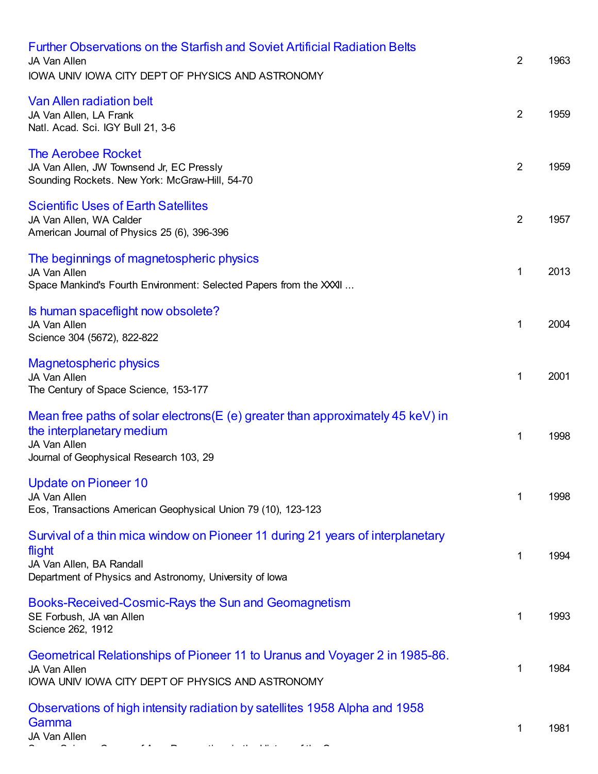| Further Observations on the Starfish and Soviet Artificial Radiation Belts<br>JA Van Allen<br>IOWA UNIV IOWA CITY DEPT OF PHYSICS AND ASTRONOMY                                 | $\overline{2}$ | 1963 |
|---------------------------------------------------------------------------------------------------------------------------------------------------------------------------------|----------------|------|
| <b>Van Allen radiation belt</b><br>JA Van Allen, LA Frank<br>Natl. Acad. Sci. IGY Bull 21, 3-6                                                                                  | $\overline{2}$ | 1959 |
| <b>The Aerobee Rocket</b><br>JA Van Allen, JW Townsend Jr, EC Pressly<br>Sounding Rockets. New York: McGraw-Hill, 54-70                                                         | $\overline{2}$ | 1959 |
| <b>Scientific Uses of Earth Satellites</b><br>JA Van Allen, WA Calder<br>American Journal of Physics 25 (6), 396-396                                                            | $\overline{2}$ | 1957 |
| The beginnings of magnetospheric physics<br>JA Van Allen<br>Space Mankind's Fourth Environment: Selected Papers from the XXII                                                   | 1              | 2013 |
| Is human spaceflight now obsolete?<br>JA Van Allen<br>Science 304 (5672), 822-822                                                                                               | 1              | 2004 |
| <b>Magnetospheric physics</b><br>JA Van Allen<br>The Century of Space Science, 153-177                                                                                          | 1              | 2001 |
| Mean free paths of solar electrons(E (e) greater than approximately 45 keV) in<br>the interplanetary medium<br><b>JA Van Allen</b><br>Journal of Geophysical Research 103, 29   | 1              | 1998 |
| Update on Pioneer 10<br>JA Van Allen<br>Eos, Transactions American Geophysical Union 79 (10), 123-123                                                                           | 1              | 1998 |
| Survival of a thin mica window on Pioneer 11 during 21 years of interplanetary<br>flight<br>JA Van Allen, BA Randall<br>Department of Physics and Astronomy, University of Iowa | 1              | 1994 |
| Books-Received-Cosmic-Rays the Sun and Geomagnetism<br>SE Forbush, JA van Allen<br>Science 262, 1912                                                                            | 1              | 1993 |
| Geometrical Relationships of Pioneer 11 to Uranus and Voyager 2 in 1985-86.<br>JA Van Allen<br>IOWA UNIV IOWA CITY DEPT OF PHYSICS AND ASTRONOMY                                | 1              | 1984 |
| Observations of high intensity radiation by satellites 1958 Alpha and 1958<br>Gamma<br>JA Van Allen                                                                             | 1              | 1981 |

Space Science Comes of Age: Perspectives in the History of the Space ...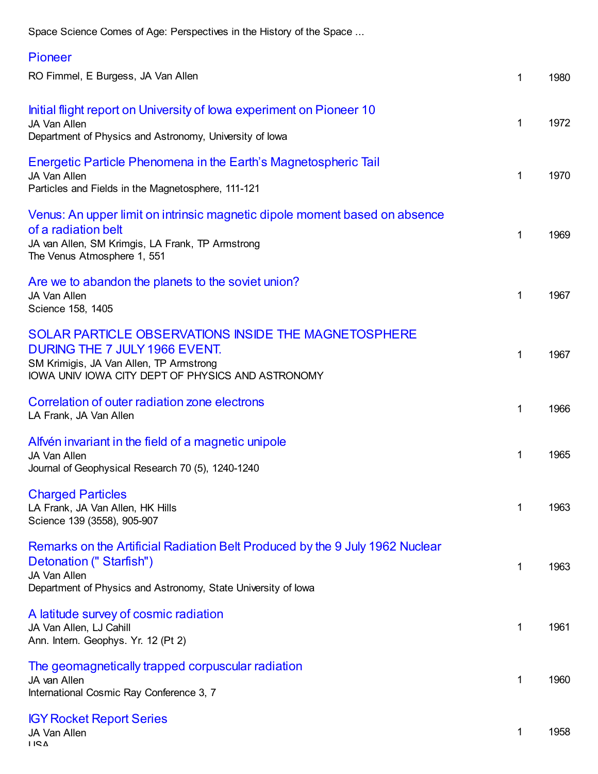Space Science Comes of Age: Perspectives in the History of the Space ...

| <b>Pioneer</b>                                                                                                                                                                           |              |      |
|------------------------------------------------------------------------------------------------------------------------------------------------------------------------------------------|--------------|------|
| RO Fimmel, E Burgess, JA Van Allen                                                                                                                                                       | 1            | 1980 |
| Initial flight report on University of lowa experiment on Pioneer 10<br><b>JA Van Allen</b><br>Department of Physics and Astronomy, University of Iowa                                   | 1            | 1972 |
| Energetic Particle Phenomena in the Earth's Magnetospheric Tail<br>JA Van Allen<br>Particles and Fields in the Magnetosphere, 111-121                                                    | 1            | 1970 |
| Venus: An upper limit on intrinsic magnetic dipole moment based on absence<br>of a radiation belt<br>JA van Allen, SM Krimgis, LA Frank, TP Armstrong<br>The Venus Atmosphere 1, 551     | 1            | 1969 |
| Are we to abandon the planets to the soviet union?<br>JA Van Allen<br>Science 158, 1405                                                                                                  | $\mathbf{1}$ | 1967 |
| SOLAR PARTICLE OBSERVATIONS INSIDE THE MAGNETOSPHERE<br>DURING THE 7 JULY 1966 EVENT.<br>SM Krimigis, JA Van Allen, TP Armstrong<br>IOWA UNIV IOWA CITY DEPT OF PHYSICS AND ASTRONOMY    | $\mathbf 1$  | 1967 |
| Correlation of outer radiation zone electrons<br>LA Frank, JA Van Allen                                                                                                                  | $\mathbf 1$  | 1966 |
| Alfvén invariant in the field of a magnetic unipole<br>JA Van Allen<br>Journal of Geophysical Research 70 (5), 1240-1240                                                                 | 1            | 1965 |
| <b>Charged Particles</b><br>LA Frank, JA Van Allen, HK Hills<br>Science 139 (3558), 905-907                                                                                              | 1            | 1963 |
| Remarks on the Artificial Radiation Belt Produced by the 9 July 1962 Nuclear<br>Detonation ("Starfish")<br>JA Van Allen<br>Department of Physics and Astronomy, State University of lowa | 1            | 1963 |
| A latitude survey of cosmic radiation<br>JA Van Allen, LJ Cahill<br>Ann. Intern. Geophys. Yr. 12 (Pt 2)                                                                                  | 1            | 1961 |
| The geomagnetically trapped corpuscular radiation<br>JA van Allen<br>International Cosmic Ray Conference 3, 7                                                                            | 1            | 1960 |
| <b>IGY Rocket Report Series</b>                                                                                                                                                          |              |      |

[1](https://scholar.google.com/scholar?oi=bibs&hl=en&cites=1689002874410729721) 1958

JA Van Allen USA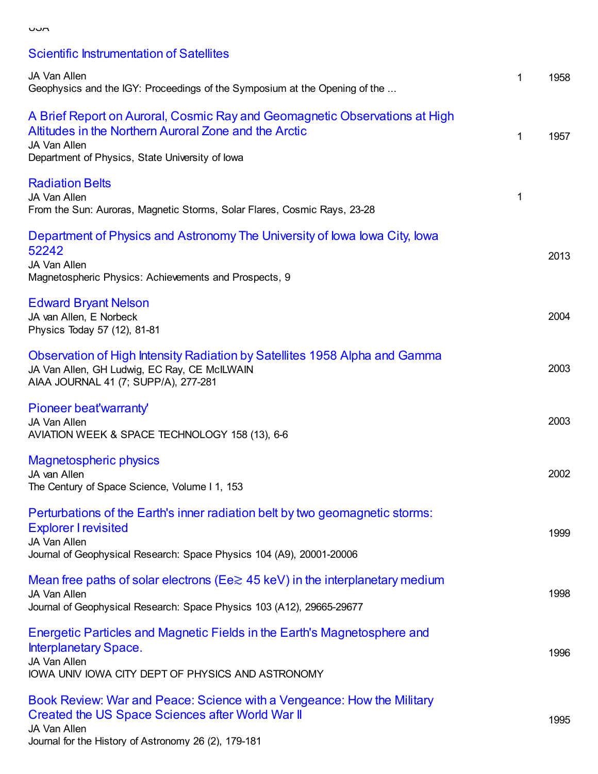| ×<br>I<br>۰.<br>v<br>v.<br>×<br>۰. |  |
|------------------------------------|--|

Scientific [Instrumentation](https://scholar.google.com/citations?view_op=view_citation&hl=en&user=ErFeWdEAAAAJ&cstart=200&pagesize=100&citation_for_view=ErFeWdEAAAAJ:bXvxhPDrUX0C) of Satellites

| JA Van Allen<br>Geophysics and the IGY: Proceedings of the Symposium at the Opening of the                                                                                                             | 1 | 1958 |
|--------------------------------------------------------------------------------------------------------------------------------------------------------------------------------------------------------|---|------|
| A Brief Report on Auroral, Cosmic Ray and Geomagnetic Observations at High<br>Altitudes in the Northern Auroral Zone and the Arctic<br>JA Van Allen<br>Department of Physics, State University of Iowa | 1 | 1957 |
| <b>Radiation Belts</b><br>JA Van Allen<br>From the Sun: Auroras, Magnetic Storms, Solar Flares, Cosmic Rays, 23-28                                                                                     | 1 |      |
| Department of Physics and Astronomy The University of Iowa Iowa City, Iowa<br>52242<br>JA Van Allen<br>Magnetospheric Physics: Achievements and Prospects, 9                                           |   | 2013 |
| <b>Edward Bryant Nelson</b><br>JA van Allen, E Norbeck<br>Physics Today 57 (12), 81-81                                                                                                                 |   | 2004 |
| Observation of High Intensity Radiation by Satellites 1958 Alpha and Gamma<br>JA Van Allen, GH Ludwig, EC Ray, CE McILWAIN<br>AIAA JOURNAL 41 (7; SUPP/A), 277-281                                     |   | 2003 |
| Pioneer beat'warranty'<br>JA Van Allen<br>AVIATION WEEK & SPACE TECHNOLOGY 158 (13), 6-6                                                                                                               |   | 2003 |
| <b>Magnetospheric physics</b><br>JA van Allen<br>The Century of Space Science, Volume I 1, 153                                                                                                         |   | 2002 |
| Perturbations of the Earth's inner radiation belt by two geomagnetic storms:<br><b>Explorer I revisited</b><br>JA Van Allen<br>Journal of Geophysical Research: Space Physics 104 (A9), 20001-20006    |   | 1999 |
| Mean free paths of solar electrons ( $E \in \geq 45$ keV) in the interplanetary medium<br>JA Van Allen<br>Journal of Geophysical Research: Space Physics 103 (A12), 29665-29677                        |   | 1998 |
| Energetic Particles and Magnetic Fields in the Earth's Magnetosphere and<br><b>Interplanetary Space.</b><br>JA Van Allen<br>IOWA UNIV IOWA CITY DEPT OF PHYSICS AND ASTRONOMY                          |   | 1996 |
| Book Review: War and Peace: Science with a Vengeance: How the Military<br>Created the US Space Sciences after World War II<br>JA Van Allen                                                             |   | 1995 |

#### Journal for the History of Astronomy 26 (2), 179-181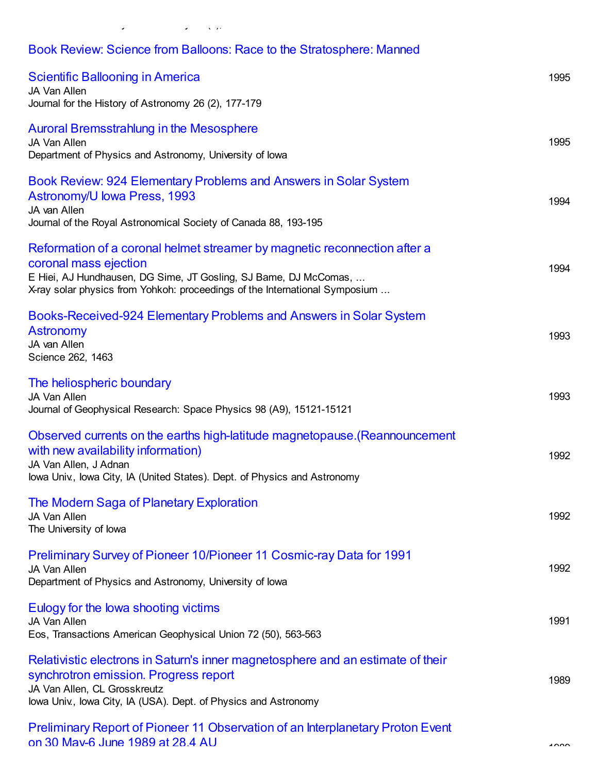## Book Review: Science from Balloons: Race to the [Stratosphere:](https://scholar.google.com/citations?view_op=view_citation&hl=en&user=ErFeWdEAAAAJ&cstart=200&pagesize=100&citation_for_view=ErFeWdEAAAAJ:p7qoFRH4VUUC) Manned

Journal for the History of Astronomy 26 (2), 179-181

| <b>Scientific Ballooning in America</b><br>JA Van Allen<br>Journal for the History of Astronomy 26 (2), 177-179                                                                                                                                       | 1995      |
|-------------------------------------------------------------------------------------------------------------------------------------------------------------------------------------------------------------------------------------------------------|-----------|
| Auroral Bremsstrahlung in the Mesosphere<br>JA Van Allen<br>Department of Physics and Astronomy, University of Iowa                                                                                                                                   | 1995      |
| Book Review: 924 Elementary Problems and Answers in Solar System<br>Astronomy/U lowa Press, 1993<br>JA van Allen<br>Journal of the Royal Astronomical Society of Canada 88, 193-195                                                                   | 1994      |
| Reformation of a coronal helmet streamer by magnetic reconnection after a<br>coronal mass ejection<br>E Hiei, AJ Hundhausen, DG Sime, JT Gosling, SJ Bame, DJ McComas,<br>X-ray solar physics from Yohkoh: proceedings of the International Symposium | 1994      |
| Books-Received-924 Elementary Problems and Answers in Solar System<br><b>Astronomy</b><br>JA van Allen<br>Science 262, 1463                                                                                                                           | 1993      |
| The heliospheric boundary<br>JA Van Allen<br>Journal of Geophysical Research: Space Physics 98 (A9), 15121-15121                                                                                                                                      | 1993      |
| Observed currents on the earths high-latitude magnetopause. (Reannouncement<br>with new availability information)<br>JA Van Allen, J Adnan<br>lowa Univ., Iowa City, IA (United States). Dept. of Physics and Astronomy                               | 1992      |
| The Modern Saga of Planetary Exploration<br>JA Van Allen<br>The University of lowa                                                                                                                                                                    | 1992      |
| Preliminary Survey of Pioneer 10/Pioneer 11 Cosmic-ray Data for 1991<br>JA Van Allen<br>Department of Physics and Astronomy, University of Iowa                                                                                                       | 1992      |
| Eulogy for the lowa shooting victims<br>JA Van Allen<br>Eos, Transactions American Geophysical Union 72 (50), 563-563                                                                                                                                 | 1991      |
| Relativistic electrons in Saturn's inner magnetosphere and an estimate of their<br>synchrotron emission. Progress report<br>JA Van Allen, CL Grosskreutz<br>lowa Univ., lowa City, IA (USA). Dept. of Physics and Astronomy                           | 1989      |
| Preliminary Report of Pioneer 11 Observation of an Interplanetary Proton Event<br>on 30 May-6 June 1989 at 28.4 AU                                                                                                                                    | $\lambda$ |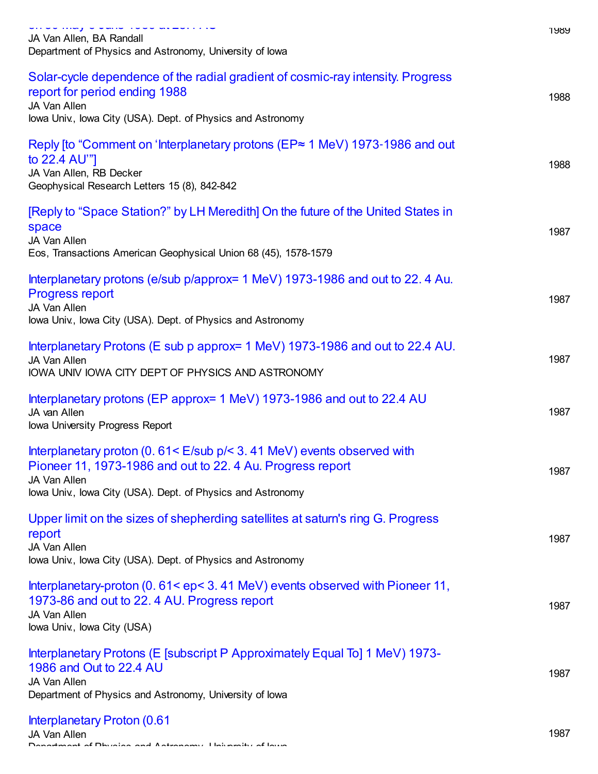| بالقدمس فالرمسين فاقابيق<br>JA Van Allen, BA Randall<br>Department of Physics and Astronomy, University of lowa                                                                                                               | ୲୳୪୪ |
|-------------------------------------------------------------------------------------------------------------------------------------------------------------------------------------------------------------------------------|------|
| Solar-cycle dependence of the radial gradient of cosmic-ray intensity. Progress<br>report for period ending 1988<br>JA Van Allen<br>lowa Univ., lowa City (USA). Dept. of Physics and Astronomy                               | 1988 |
| Reply fto "Comment on 'Interplanetary protons (EP≈ 1 MeV) 1973-1986 and out<br>to 22.4 AU"]<br>JA Van Allen, RB Decker<br>Geophysical Research Letters 15 (8), 842-842                                                        | 1988 |
| [Reply to "Space Station?" by LH Meredith] On the future of the United States in<br>space<br>JA Van Allen<br>Eos, Transactions American Geophysical Union 68 (45), 1578-1579                                                  | 1987 |
| Interplanetary protons (e/sub p/approx= 1 MeV) 1973-1986 and out to 22.4 Au.<br><b>Progress report</b><br>JA Van Allen<br>lowa Univ., lowa City (USA). Dept. of Physics and Astronomy                                         | 1987 |
| Interplanetary Protons (E sub p approx = 1 MeV) 1973-1986 and out to 22.4 AU.<br>JA Van Allen<br>IOWA UNIV IOWA CITY DEPT OF PHYSICS AND ASTRONOMY                                                                            | 1987 |
| Interplanetary protons (EP approx= 1 MeV) 1973-1986 and out to 22.4 AU<br>JA van Allen<br>Iowa University Progress Report                                                                                                     | 1987 |
| Interplanetary proton (0. $61 < E$ /sub $p$ / $<$ 3. 41 MeV) events observed with<br>Pioneer 11, 1973-1986 and out to 22.4 Au. Progress report<br>JA Van Allen<br>lowa Univ., lowa City (USA). Dept. of Physics and Astronomy | 1987 |
| Upper limit on the sizes of shepherding satellites at saturn's ring G. Progress<br>report<br>JA Van Allen<br>lowa Univ., lowa City (USA). Dept. of Physics and Astronomy                                                      | 1987 |
| Interplanetary-proton (0.61 <ep<3.41 11,<br="" events="" mev)="" observed="" pioneer="" with="">1973-86 and out to 22.4 AU. Progress report<br/>JA Van Allen<br/>lowa Univ., lowa City (USA)</ep<3.41>                        | 1987 |
| Interplanetary Protons (E [subscript P Approximately Equal To] 1 MeV) 1973-<br>1986 and Out to 22.4 AU<br>JA Van Allen<br>Department of Physics and Astronomy, University of lowa                                             | 1987 |

[Interplanetary](https://scholar.google.com/citations?view_op=view_citation&hl=en&user=ErFeWdEAAAAJ&cstart=200&pagesize=100&citation_for_view=ErFeWdEAAAAJ:whNN5KpgZFsC) Proton (0.61 JA Van Allen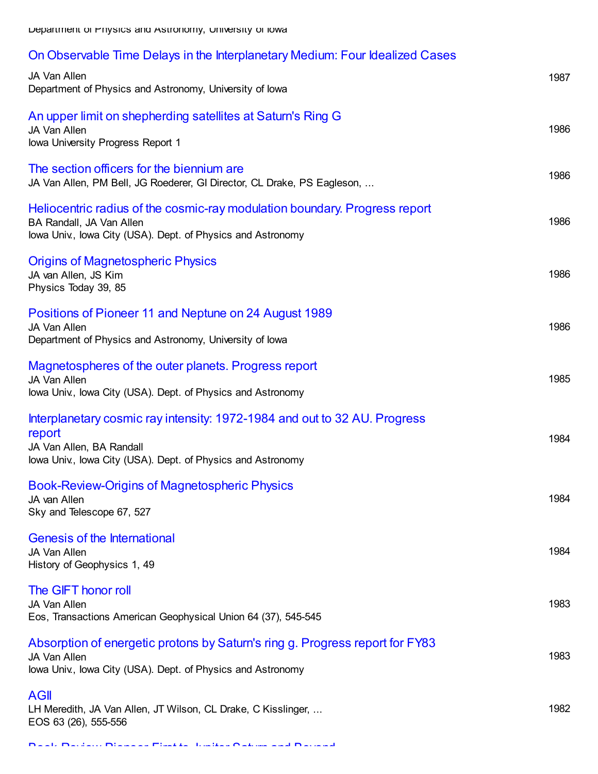#### On Observable Time Delays in the [Interplanetary](https://scholar.google.com/citations?view_op=view_citation&hl=en&user=ErFeWdEAAAAJ&cstart=200&pagesize=100&citation_for_view=ErFeWdEAAAAJ:hKmHnHMtuq0C) Medium: Four Idealized Cases

| JA Van Allen<br>Department of Physics and Astronomy, University of Iowa                                                                                                        | 1987 |
|--------------------------------------------------------------------------------------------------------------------------------------------------------------------------------|------|
| An upper limit on shepherding satellites at Saturn's Ring G<br>JA Van Allen<br>Iowa University Progress Report 1                                                               | 1986 |
| The section officers for the biennium are.<br>JA Van Allen, PM Bell, JG Roederer, GI Director, CL Drake, PS Eagleson,                                                          | 1986 |
| Heliocentric radius of the cosmic-ray modulation boundary. Progress report<br>BA Randall, JA Van Allen<br>lowa Univ., lowa City (USA). Dept. of Physics and Astronomy          | 1986 |
| <b>Origins of Magnetospheric Physics</b><br>JA van Allen, JS Kim<br>Physics Today 39, 85                                                                                       | 1986 |
| Positions of Pioneer 11 and Neptune on 24 August 1989<br>JA Van Allen<br>Department of Physics and Astronomy, University of Iowa                                               | 1986 |
| Magnetospheres of the outer planets. Progress report<br>JA Van Allen<br>lowa Univ., lowa City (USA). Dept. of Physics and Astronomy                                            | 1985 |
| Interplanetary cosmic ray intensity: 1972-1984 and out to 32 AU. Progress<br>report<br>JA Van Allen, BA Randall<br>lowa Univ., lowa City (USA). Dept. of Physics and Astronomy | 1984 |
| <b>Book-Review-Origins of Magnetospheric Physics</b><br>JA van Allen<br>Sky and Telescope 67, 527                                                                              | 1984 |
| <b>Genesis of the International</b><br>JA Van Allen<br>History of Geophysics 1, 49                                                                                             | 1984 |
| The GIFT honor roll<br>JA Van Allen<br>Eos, Transactions American Geophysical Union 64 (37), 545-545                                                                           | 1983 |
| Absorption of energetic protons by Saturn's ring g. Progress report for FY83<br>JA Van Allen<br>lowa Univ., lowa City (USA). Dept. of Physics and Astronomy                    | 1983 |
| <b>AGII</b><br>LH Meredith, JA Van Allen, JT Wilson, CL Drake, C Kisslinger,<br>EOS 63 (26), 555-556                                                                           | 1982 |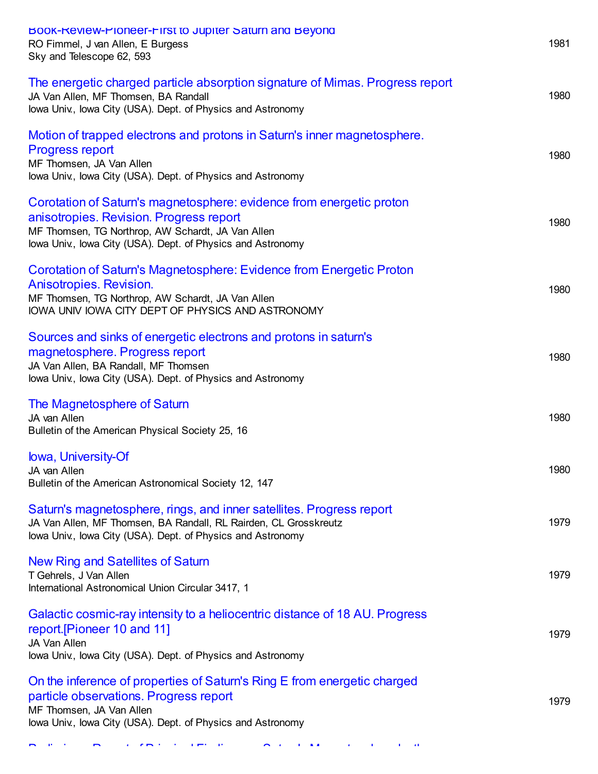| BOOK-Review-Ploneer-First to Jupiter Saturn and Beyond<br>RO Fimmel, J van Allen, E Burgess<br>Sky and Telescope 62, 593                                                                                                            | 1981 |
|-------------------------------------------------------------------------------------------------------------------------------------------------------------------------------------------------------------------------------------|------|
| The energetic charged particle absorption signature of Mimas. Progress report<br>JA Van Allen, MF Thomsen, BA Randall<br>lowa Univ., lowa City (USA). Dept. of Physics and Astronomy                                                | 1980 |
| Motion of trapped electrons and protons in Saturn's inner magnetosphere.<br><b>Progress report</b><br>MF Thomsen, JA Van Allen<br>lowa Univ., lowa City (USA). Dept. of Physics and Astronomy                                       | 1980 |
| Corotation of Saturn's magnetosphere: evidence from energetic proton<br>anisotropies. Revision. Progress report<br>MF Thomsen, TG Northrop, AW Schardt, JA Van Allen<br>lowa Univ., lowa City (USA). Dept. of Physics and Astronomy | 1980 |
| Corotation of Saturn's Magnetosphere: Evidence from Energetic Proton<br>Anisotropies. Revision.<br>MF Thomsen, TG Northrop, AW Schardt, JA Van Allen<br>IOWA UNIV IOWA CITY DEPT OF PHYSICS AND ASTRONOMY                           | 1980 |
| Sources and sinks of energetic electrons and protons in saturn's<br>magnetosphere. Progress report<br>JA Van Allen, BA Randall, MF Thomsen<br>lowa Univ., lowa City (USA). Dept. of Physics and Astronomy                           | 1980 |
| The Magnetosphere of Saturn<br>JA van Allen<br>Bulletin of the American Physical Society 25, 16                                                                                                                                     | 1980 |
| lowa, University-Of<br>JA van Allen<br>Bulletin of the American Astronomical Society 12, 147                                                                                                                                        | 1980 |
| Saturn's magnetosphere, rings, and inner satellites. Progress report<br>JA Van Allen, MF Thomsen, BA Randall, RL Rairden, CL Grosskreutz<br>lowa Univ., lowa City (USA). Dept. of Physics and Astronomy                             | 1979 |
| New Ring and Satellites of Saturn<br>T Gehrels, J Van Allen<br>International Astronomical Union Circular 3417, 1                                                                                                                    | 1979 |
| Galactic cosmic-ray intensity to a heliocentric distance of 18 AU. Progress<br>report. [Pioneer 10 and 11]<br>JA Van Allen<br>lowa Univ., lowa City (USA). Dept. of Physics and Astronomy                                           | 1979 |
| On the inference of properties of Saturn's Ring E from energetic charged<br>particle observations. Progress report<br>MF Thomsen, JA Van Allen<br>lowa Univ., lowa City (USA). Dept. of Physics and Astronomy                       | 1979 |

Preliminary Report of Principal Findings on Saturn's [Magnetosphere](https://scholar.google.com/citations?view_op=view_citation&hl=en&user=ErFeWdEAAAAJ&cstart=200&pagesize=100&citation_for_view=ErFeWdEAAAAJ:N2osnxbUuuUC) by the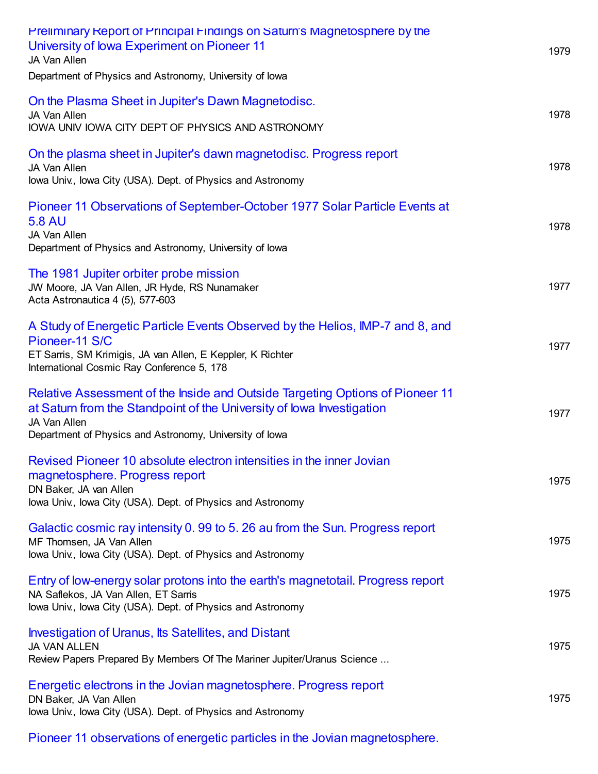| <b>Preliminary Report of Principal Findings on Saturn's Magnetosphere by the</b><br>University of Iowa Experiment on Pioneer 11<br>JA Van Allen<br>Department of Physics and Astronomy, University of Iowa                        | 1979 |
|-----------------------------------------------------------------------------------------------------------------------------------------------------------------------------------------------------------------------------------|------|
| On the Plasma Sheet in Jupiter's Dawn Magnetodisc.<br>JA Van Allen<br>IOWA UNIV IOWA CITY DEPT OF PHYSICS AND ASTRONOMY                                                                                                           | 1978 |
| On the plasma sheet in Jupiter's dawn magnetodisc. Progress report<br>JA Van Allen<br>lowa Univ., lowa City (USA). Dept. of Physics and Astronomy                                                                                 | 1978 |
| Pioneer 11 Observations of September-October 1977 Solar Particle Events at<br><b>5.8 AU</b><br>JA Van Allen<br>Department of Physics and Astronomy, University of lowa                                                            | 1978 |
| The 1981 Jupiter orbiter probe mission<br>JW Moore, JA Van Allen, JR Hyde, RS Nunamaker<br>Acta Astronautica 4 (5), 577-603                                                                                                       | 1977 |
| A Study of Energetic Particle Events Observed by the Helios, IMP-7 and 8, and<br>Pioneer-11 S/C<br>ET Sarris, SM Krimigis, JA van Allen, E Keppler, K Richter<br>International Cosmic Ray Conference 5, 178                       | 1977 |
| Relative Assessment of the Inside and Outside Targeting Options of Pioneer 11<br>at Saturn from the Standpoint of the University of lowa Investigation<br>JA Van Allen<br>Department of Physics and Astronomy, University of Iowa | 1977 |
| Revised Pioneer 10 absolute electron intensities in the inner Jovian<br>magnetosphere. Progress report<br>DN Baker, JA van Allen<br>lowa Univ., lowa City (USA). Dept. of Physics and Astronomy                                   | 1975 |
| Galactic cosmic ray intensity 0.99 to 5.26 au from the Sun. Progress report<br>MF Thomsen, JA Van Allen<br>lowa Univ., lowa City (USA). Dept. of Physics and Astronomy                                                            | 1975 |
| Entry of low-energy solar protons into the earth's magnetotail. Progress report<br>NA Saflekos, JA Van Allen, ET Sarris<br>lowa Univ., lowa City (USA). Dept. of Physics and Astronomy                                            | 1975 |
| <b>Investigation of Uranus, Its Satellites, and Distant</b><br><b>JA VAN ALLEN</b><br>Review Papers Prepared By Members Of The Mariner Jupiter/Uranus Science                                                                     | 1975 |
| Energetic electrons in the Jovian magnetosphere. Progress report<br>DN Baker, JA Van Allen<br>lowa Univ., lowa City (USA). Dept. of Physics and Astronomy                                                                         | 1975 |
|                                                                                                                                                                                                                                   |      |

Pioneer 11 observations of energetic particles in the Jovian [magnetosphere.](https://scholar.google.com/citations?view_op=view_citation&hl=en&user=ErFeWdEAAAAJ&cstart=200&pagesize=100&citation_for_view=ErFeWdEAAAAJ:6HoeAlFIZOwC)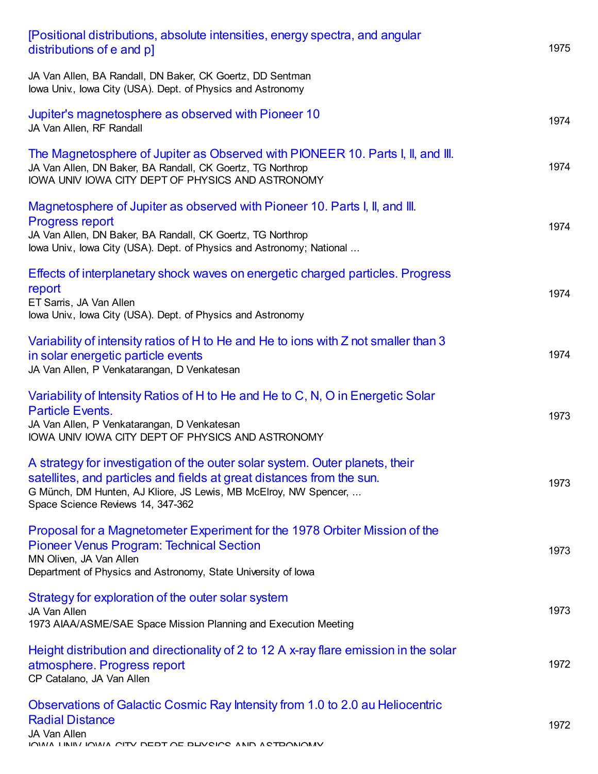| [Positional distributions, absolute intensities, energy spectra, and angular<br>distributions of e and pl                                                                                                                                                      | 1975 |
|----------------------------------------------------------------------------------------------------------------------------------------------------------------------------------------------------------------------------------------------------------------|------|
| JA Van Allen, BA Randall, DN Baker, CK Goertz, DD Sentman<br>lowa Univ., lowa City (USA). Dept. of Physics and Astronomy                                                                                                                                       |      |
| Jupiter's magnetosphere as observed with Pioneer 10<br>JA Van Allen, RF Randall                                                                                                                                                                                | 1974 |
| The Magnetosphere of Jupiter as Observed with PIONEER 10. Parts I, II, and III.<br>JA Van Allen, DN Baker, BA Randall, CK Goertz, TG Northrop<br>IOWA UNIV IOWA CITY DEPT OF PHYSICS AND ASTRONOMY                                                             | 1974 |
| Magnetosphere of Jupiter as observed with Pioneer 10. Parts I, II, and III.<br><b>Progress report</b><br>JA Van Allen, DN Baker, BA Randall, CK Goertz, TG Northrop<br>lowa Univ., lowa City (USA). Dept. of Physics and Astronomy; National                   | 1974 |
| Effects of interplanetary shock waves on energetic charged particles. Progress<br>report<br>ET Sarris, JA Van Allen<br>lowa Univ., lowa City (USA). Dept. of Physics and Astronomy                                                                             | 1974 |
| Variability of intensity ratios of H to He and He to ions with Z not smaller than 3<br>in solar energetic particle events<br>JA Van Allen, P Venkatarangan, D Venkatesan                                                                                       | 1974 |
| Variability of Intensity Ratios of H to He and He to C, N, O in Energetic Solar<br><b>Particle Events.</b><br>JA Van Allen, P Venkatarangan, D Venkatesan<br>IOWA UNIV IOWA CITY DEPT OF PHYSICS AND ASTRONOMY                                                 | 1973 |
| A strategy for investigation of the outer solar system. Outer planets, their<br>satellites, and particles and fields at great distances from the sun.<br>G Münch, DM Hunten, AJ Kliore, JS Lewis, MB McElroy, NW Spencer,<br>Space Science Reviews 14, 347-362 | 1973 |
| Proposal for a Magnetometer Experiment for the 1978 Orbiter Mission of the<br><b>Pioneer Venus Program: Technical Section</b><br>MN Oliven, JA Van Allen<br>Department of Physics and Astronomy, State University of Iowa                                      | 1973 |
| Strategy for exploration of the outer solar system<br>JA Van Allen<br>1973 AIAA/ASME/SAE Space Mission Planning and Execution Meeting                                                                                                                          | 1973 |
| Height distribution and directionality of 2 to 12 A x-ray flare emission in the solar<br>atmosphere. Progress report<br>CP Catalano, JA Van Allen                                                                                                              | 1972 |
| Observations of Galactic Cosmic Ray Intensity from 1.0 to 2.0 au Heliocentric<br><b>Radial Distance</b><br>JA Van Allen                                                                                                                                        | 1972 |

IOWA UNIV IOWA CITY DEPT OF PHYSICS AND ASTRONOMY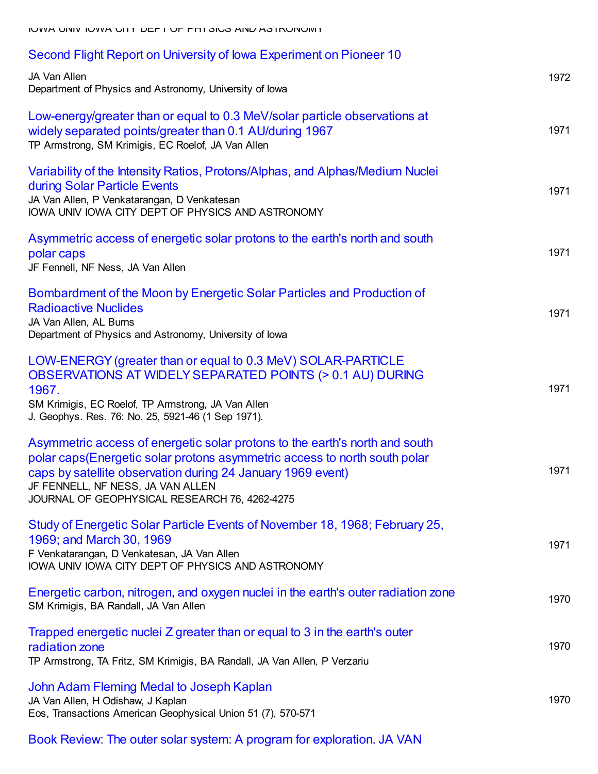| Second Flight Report on University of Iowa Experiment on Pioneer 10                                                                                                                                                                                                                                           |      |
|---------------------------------------------------------------------------------------------------------------------------------------------------------------------------------------------------------------------------------------------------------------------------------------------------------------|------|
| JA Van Allen<br>Department of Physics and Astronomy, University of Iowa                                                                                                                                                                                                                                       | 1972 |
| Low-energy/greater than or equal to 0.3 MeV/solar particle observations at<br>widely separated points/greater than 0.1 AU/during 1967<br>TP Armstrong, SM Krimigis, EC Roelof, JA Van Allen                                                                                                                   | 1971 |
| Variability of the Intensity Ratios, Protons/Alphas, and Alphas/Medium Nuclei<br>during Solar Particle Events<br>JA Van Allen, P Venkatarangan, D Venkatesan<br>IOWA UNIV IOWA CITY DEPT OF PHYSICS AND ASTRONOMY                                                                                             | 1971 |
| Asymmetric access of energetic solar protons to the earth's north and south<br>polar caps<br>JF Fennell, NF Ness, JA Van Allen                                                                                                                                                                                | 1971 |
| Bombardment of the Moon by Energetic Solar Particles and Production of<br><b>Radioactive Nuclides</b><br>JA Van Allen, AL Burns<br>Department of Physics and Astronomy, University of Iowa                                                                                                                    | 1971 |
| LOW-ENERGY (greater than or equal to 0.3 MeV) SOLAR-PARTICLE<br>OBSERVATIONS AT WIDELY SEPARATED POINTS (> 0.1 AU) DURING<br>1967.<br>SM Krimigis, EC Roelof, TP Armstrong, JA Van Allen<br>J. Geophys. Res. 76: No. 25, 5921-46 (1 Sep 1971).                                                                | 1971 |
| Asymmetric access of energetic solar protons to the earth's north and south<br>polar caps(Energetic solar protons asymmetric access to north south polar<br>caps by satellite observation during 24 January 1969 event)<br>JF FENNELL, NF NESS, JA VAN ALLEN<br>JOURNAL OF GEOPHYSICAL RESEARCH 76, 4262-4275 | 1971 |
| Study of Energetic Solar Particle Events of November 18, 1968; February 25,<br>1969; and March 30, 1969<br>F Venkatarangan, D Venkatesan, JA Van Allen<br>IOWA UNIV IOWA CITY DEPT OF PHYSICS AND ASTRONOMY                                                                                                   | 1971 |
| Energetic carbon, nitrogen, and oxygen nuclei in the earth's outer radiation zone<br>SM Krimigis, BA Randall, JA Van Allen                                                                                                                                                                                    | 1970 |
| Trapped energetic nuclei Z greater than or equal to 3 in the earth's outer<br>radiation zone<br>TP Armstrong, TA Fritz, SM Krimigis, BA Randall, JA Van Allen, P Verzariu                                                                                                                                     | 1970 |
| John Adam Fleming Medal to Joseph Kaplan<br>JA Van Allen, H Odishaw, J Kaplan<br>Eos, Transactions American Geophysical Union 51 (7), 570-571                                                                                                                                                                 | 1970 |
|                                                                                                                                                                                                                                                                                                               |      |

Book Review: The outer solar system: A program for [exploration.](https://scholar.google.com/citations?view_op=view_citation&hl=en&user=ErFeWdEAAAAJ&cstart=300&pagesize=100&citation_for_view=ErFeWdEAAAAJ:Y0agIcFmOsQC) JA VAN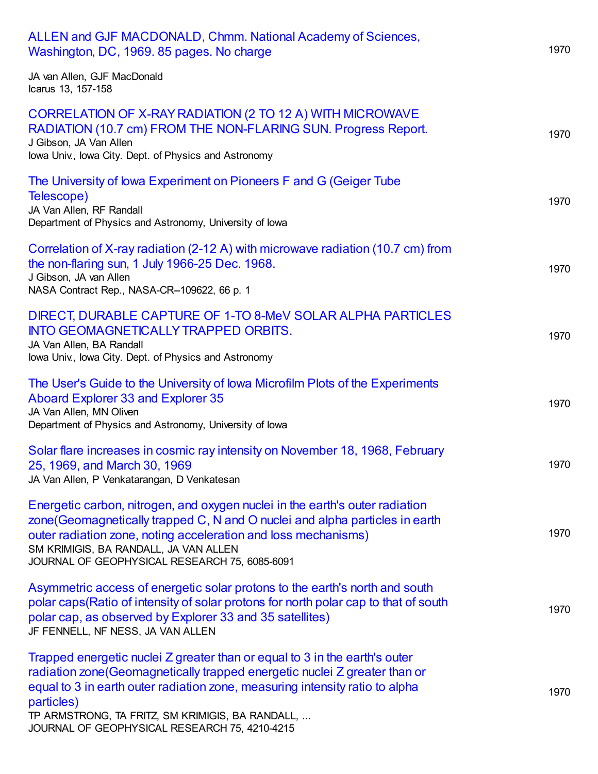| ALLEN and GJF MACDONALD, Chmm. National Academy of Sciences,<br>Washington, DC, 1969. 85 pages. No charge                                                                                                                                                                                                                                                   | 1970 |
|-------------------------------------------------------------------------------------------------------------------------------------------------------------------------------------------------------------------------------------------------------------------------------------------------------------------------------------------------------------|------|
| JA van Allen, GJF MacDonald<br>Icarus 13, 157-158                                                                                                                                                                                                                                                                                                           |      |
| CORRELATION OF X-RAY RADIATION (2 TO 12 A) WITH MICROWAVE<br>RADIATION (10.7 cm) FROM THE NON-FLARING SUN. Progress Report.<br>J Gibson, JA Van Allen<br>lowa Univ., lowa City. Dept. of Physics and Astronomy                                                                                                                                              | 1970 |
| The University of Iowa Experiment on Pioneers F and G (Geiger Tube<br>Telescope)<br>JA Van Allen, RF Randall<br>Department of Physics and Astronomy, University of Iowa                                                                                                                                                                                     | 1970 |
| Correlation of X-ray radiation (2-12 A) with microwave radiation (10.7 cm) from<br>the non-flaring sun, 1 July 1966-25 Dec. 1968.<br>J Gibson, JA van Allen<br>NASA Contract Rep., NASA-CR--109622, 66 p. 1                                                                                                                                                 | 1970 |
| DIRECT, DURABLE CAPTURE OF 1-TO 8-MeV SOLAR ALPHA PARTICLES<br><b>INTO GEOMAGNETICALLY TRAPPED ORBITS.</b><br>JA Van Allen, BA Randall<br>lowa Univ., lowa City. Dept. of Physics and Astronomy                                                                                                                                                             | 1970 |
| The User's Guide to the University of Iowa Microfilm Plots of the Experiments<br>Aboard Explorer 33 and Explorer 35<br>JA Van Allen, MN Oliven<br>Department of Physics and Astronomy, University of Iowa                                                                                                                                                   | 1970 |
| Solar flare increases in cosmic ray intensity on November 18, 1968, February<br>25, 1969, and March 30, 1969<br>JA Van Allen, P Venkatarangan, D Venkatesan                                                                                                                                                                                                 | 1970 |
| Energetic carbon, nitrogen, and oxygen nuclei in the earth's outer radiation<br>zone (Geomagnetically trapped C, N and O nuclei and alpha particles in earth<br>outer radiation zone, noting acceleration and loss mechanisms)<br>SM KRIMIGIS, BA RANDALL, JA VAN ALLEN<br>JOURNAL OF GEOPHYSICAL RESEARCH 75, 6085-6091                                    | 1970 |
| Asymmetric access of energetic solar protons to the earth's north and south<br>polar caps(Ratio of intensity of solar protons for north polar cap to that of south<br>polar cap, as observed by Explorer 33 and 35 satellites)<br>JF FENNELL, NF NESS, JA VAN ALLEN                                                                                         | 1970 |
| Trapped energetic nuclei Z greater than or equal to 3 in the earth's outer<br>radiation zone (Geomagnetically trapped energetic nuclei Z greater than or<br>equal to 3 in earth outer radiation zone, measuring intensity ratio to alpha<br>particles)<br>TP ARMSTRONG, TA FRITZ, SM KRIMIGIS, BA RANDALL,<br>JOURNAL OF GEOPHYSICAL RESEARCH 75, 4210-4215 | 1970 |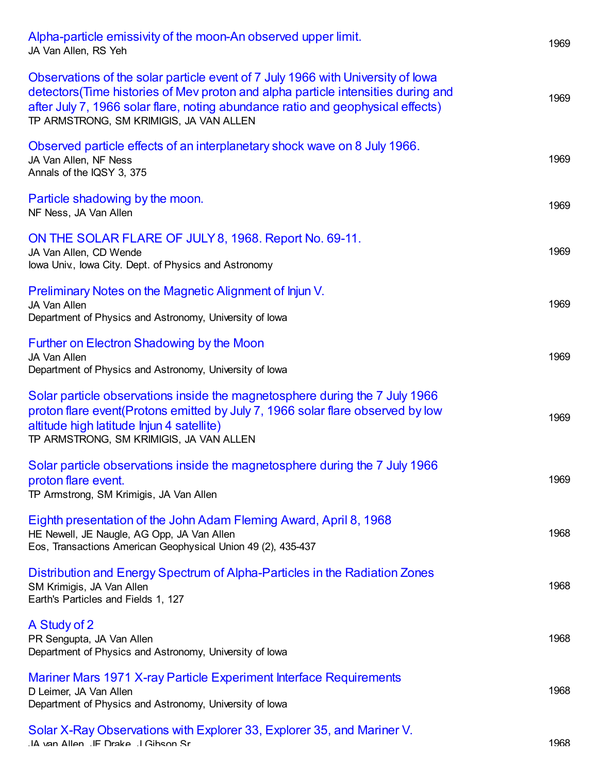| Alpha-particle emissivity of the moon-An observed upper limit.<br>JA Van Allen, RS Yeh                                                                                                                                                                                                             | 1969 |
|----------------------------------------------------------------------------------------------------------------------------------------------------------------------------------------------------------------------------------------------------------------------------------------------------|------|
| Observations of the solar particle event of 7 July 1966 with University of lowa<br>detectors (Time histories of Mev proton and alpha particle intensities during and<br>after July 7, 1966 solar flare, noting abundance ratio and geophysical effects)<br>TP ARMSTRONG, SM KRIMIGIS, JA VAN ALLEN | 1969 |
| Observed particle effects of an interplanetary shock wave on 8 July 1966.<br>JA Van Allen, NF Ness<br>Annals of the IQSY 3, 375                                                                                                                                                                    | 1969 |
| Particle shadowing by the moon.<br>NF Ness, JA Van Allen                                                                                                                                                                                                                                           | 1969 |
| ON THE SOLAR FLARE OF JULY 8, 1968. Report No. 69-11.<br>JA Van Allen, CD Wende<br>Iowa Univ., Iowa City. Dept. of Physics and Astronomy                                                                                                                                                           | 1969 |
| Preliminary Notes on the Magnetic Alignment of Injun V.<br>JA Van Allen<br>Department of Physics and Astronomy, University of Iowa                                                                                                                                                                 | 1969 |
| Further on Electron Shadowing by the Moon<br>JA Van Allen<br>Department of Physics and Astronomy, University of Iowa                                                                                                                                                                               | 1969 |
| Solar particle observations inside the magnetosphere during the 7 July 1966<br>proton flare event(Protons emitted by July 7, 1966 solar flare observed by low<br>altitude high latitude lnjun 4 satellite)<br>TP ARMSTRONG, SM KRIMIGIS, JA VAN ALLEN                                              | 1969 |
| Solar particle observations inside the magnetosphere during the 7 July 1966<br>proton flare event.<br>TP Armstrong, SM Krimigis, JA Van Allen                                                                                                                                                      | 1969 |
| Eighth presentation of the John Adam Fleming Award, April 8, 1968<br>HE Newell, JE Naugle, AG Opp, JA Van Allen<br>Eos, Transactions American Geophysical Union 49 (2), 435-437                                                                                                                    | 1968 |
| Distribution and Energy Spectrum of Alpha-Particles in the Radiation Zones<br>SM Krimigis, JA Van Allen<br>Earth's Particles and Fields 1, 127                                                                                                                                                     | 1968 |
| A Study of 2<br>PR Sengupta, JA Van Allen<br>Department of Physics and Astronomy, University of Iowa                                                                                                                                                                                               | 1968 |
| Mariner Mars 1971 X-ray Particle Experiment Interface Requirements<br>D Leimer, JA Van Allen<br>Department of Physics and Astronomy, University of Iowa                                                                                                                                            | 1968 |
| Solar X-Ray Observations with Explorer 33, Explorer 35, and Mariner V.<br>.IA van Allen .IF Drake .I Gibson Sr                                                                                                                                                                                     | 1968 |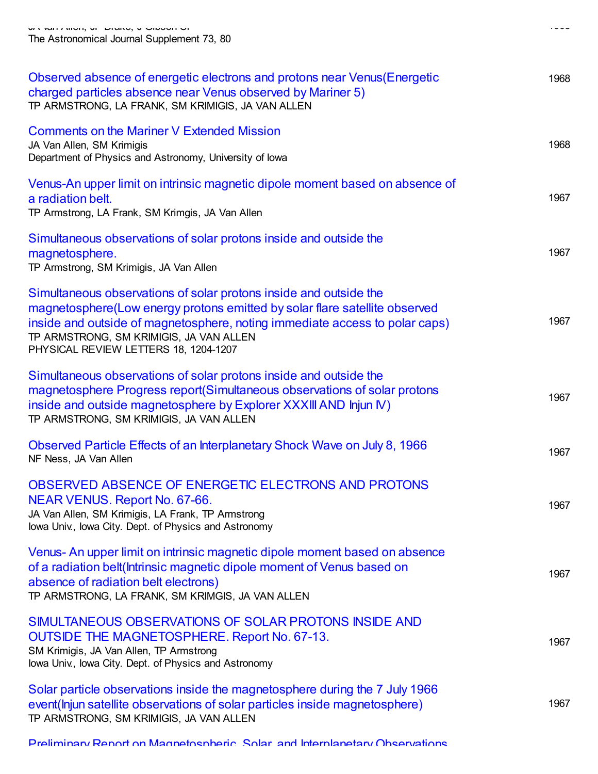| Observed absence of energetic electrons and protons near Venus (Energetic<br>charged particles absence near Venus observed by Mariner 5)<br>TP ARMSTRONG, LA FRANK, SM KRIMIGIS, JA VAN ALLEN                                                                                                                      | 1968 |
|--------------------------------------------------------------------------------------------------------------------------------------------------------------------------------------------------------------------------------------------------------------------------------------------------------------------|------|
| <b>Comments on the Mariner V Extended Mission</b><br>JA Van Allen, SM Krimigis<br>Department of Physics and Astronomy, University of lowa                                                                                                                                                                          | 1968 |
| Venus-An upper limit on intrinsic magnetic dipole moment based on absence of<br>a radiation belt.<br>TP Armstrong, LA Frank, SM Krimgis, JA Van Allen                                                                                                                                                              | 1967 |
| Simultaneous observations of solar protons inside and outside the<br>magnetosphere.<br>TP Armstrong, SM Krimigis, JA Van Allen                                                                                                                                                                                     | 1967 |
| Simultaneous observations of solar protons inside and outside the<br>magnetosphere(Low energy protons emitted by solar flare satellite observed<br>inside and outside of magnetosphere, noting immediate access to polar caps)<br>TP ARMSTRONG, SM KRIMIGIS, JA VAN ALLEN<br>PHYSICAL REVIEW LETTERS 18, 1204-1207 | 1967 |
| Simultaneous observations of solar protons inside and outside the<br>magnetosphere Progress report(Simultaneous observations of solar protons<br>inside and outside magnetosphere by Explorer XXXIII AND Injun IV)<br>TP ARMSTRONG, SM KRIMIGIS, JA VAN ALLEN                                                      | 1967 |
| Observed Particle Effects of an Interplanetary Shock Wave on July 8, 1966<br>NF Ness, JA Van Allen                                                                                                                                                                                                                 | 1967 |
| OBSERVED ABSENCE OF ENERGETIC ELECTRONS AND PROTONS<br>NEAR VENUS. Report No. 67-66.<br>JA Van Allen, SM Krimigis, LA Frank, TP Armstrong<br>Iowa Univ., Iowa City. Dept. of Physics and Astronomy                                                                                                                 | 1967 |
| Venus- An upper limit on intrinsic magnetic dipole moment based on absence<br>of a radiation belt(Intrinsic magnetic dipole moment of Venus based on<br>absence of radiation belt electrons)<br>TP ARMSTRONG, LA FRANK, SM KRIMGIS, JA VAN ALLEN                                                                   | 1967 |
| SIMULTANEOUS OBSERVATIONS OF SOLAR PROTONS INSIDE AND<br>OUTSIDE THE MAGNETOSPHERE. Report No. 67-13.<br>SM Krimigis, JA Van Allen, TP Armstrong<br>lowa Univ., lowa City. Dept. of Physics and Astronomy                                                                                                          | 1967 |
| Solar particle observations inside the magnetosphere during the 7 July 1966<br>event(lnjun satellite observations of solar particles inside magnetosphere)<br>TP ARMSTRONG, SM KRIMIGIS, JA VAN ALLEN                                                                                                              | 1967 |

Preliminary Report on [Magnetospheric,](https://scholar.google.com/citations?view_op=view_citation&hl=en&user=ErFeWdEAAAAJ&cstart=300&pagesize=100&citation_for_view=ErFeWdEAAAAJ:fGgrif5g-LMC) Solar, and Interplanetary Observations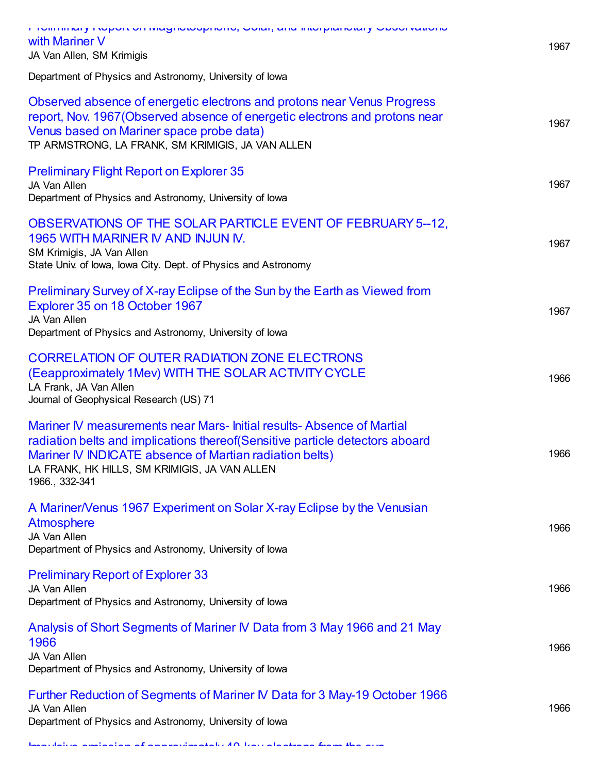| I TOIMING I TOPOLOG INGGLIODOPINGO, ODIA, GIN INGERIORI I ODOCERACIO<br>with Mariner V<br>JA Van Allen, SM Krimigis                                                                                                                                                                 | 1967 |
|-------------------------------------------------------------------------------------------------------------------------------------------------------------------------------------------------------------------------------------------------------------------------------------|------|
| Department of Physics and Astronomy, University of Iowa                                                                                                                                                                                                                             |      |
| Observed absence of energetic electrons and protons near Venus Progress<br>report, Nov. 1967 (Observed absence of energetic electrons and protons near<br>Venus based on Mariner space probe data)<br>TP ARMSTRONG, LA FRANK, SM KRIMIGIS, JA VAN ALLEN                             | 1967 |
| <b>Preliminary Flight Report on Explorer 35</b><br>JA Van Allen<br>Department of Physics and Astronomy, University of Iowa                                                                                                                                                          | 1967 |
| OBSERVATIONS OF THE SOLAR PARTICLE EVENT OF FEBRUARY 5--12,<br>1965 WITH MARINER IV AND INJUN IV.<br>SM Krimigis, JA Van Allen<br>State Univ. of Iowa, Iowa City. Dept. of Physics and Astronomy                                                                                    | 1967 |
| Preliminary Survey of X-ray Eclipse of the Sun by the Earth as Viewed from<br>Explorer 35 on 18 October 1967<br>JA Van Allen<br>Department of Physics and Astronomy, University of lowa                                                                                             | 1967 |
| <b>CORRELATION OF OUTER RADIATION ZONE ELECTRONS</b><br>(Eeapproximately 1Mev) WITH THE SOLAR ACTIVITY CYCLE<br>LA Frank, JA Van Allen<br>Journal of Geophysical Research (US) 71                                                                                                   | 1966 |
| Mariner IV measurements near Mars-Initial results-Absence of Martial<br>radiation belts and implications thereof (Sensitive particle detectors aboard<br>Mariner IV INDICATE absence of Martian radiation belts)<br>LA FRANK, HK HILLS, SM KRIMIGIS, JA VAN ALLEN<br>1966., 332-341 | 1966 |
| A Mariner/Venus 1967 Experiment on Solar X-ray Eclipse by the Venusian<br><b>Atmosphere</b><br>JA Van Allen<br>Department of Physics and Astronomy, University of Iowa                                                                                                              | 1966 |
| <b>Preliminary Report of Explorer 33</b><br>JA Van Allen<br>Department of Physics and Astronomy, University of Iowa                                                                                                                                                                 | 1966 |
| Analysis of Short Segments of Mariner IV Data from 3 May 1966 and 21 May<br>1966<br>JA Van Allen<br>Department of Physics and Astronomy, University of Iowa                                                                                                                         | 1966 |
| Further Reduction of Segments of Mariner IV Data for 3 May-19 October 1966<br>JA Van Allen<br>Department of Physics and Astronomy, University of lowa                                                                                                                               | 1966 |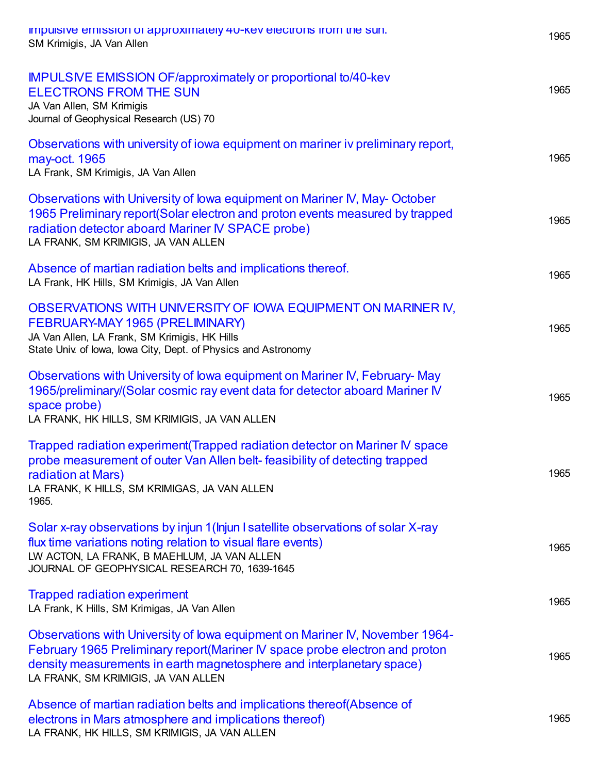| impulsive emission or approximately 40-key electrons from the sun.<br>SM Krimigis, JA Van Allen                                                                                                                                                                             | 1965 |
|-----------------------------------------------------------------------------------------------------------------------------------------------------------------------------------------------------------------------------------------------------------------------------|------|
| <b>IMPULSIVE EMISSION OF/approximately or proportional to/40-kev</b><br><b>ELECTRONS FROM THE SUN</b><br>JA Van Allen, SM Krimigis<br>Journal of Geophysical Research (US) 70                                                                                               | 1965 |
| Observations with university of iowa equipment on mariner iv preliminary report,<br>may-oct. 1965<br>LA Frank, SM Krimigis, JA Van Allen                                                                                                                                    | 1965 |
| Observations with University of Iowa equipment on Mariner IV, May-October<br>1965 Preliminary report(Solar electron and proton events measured by trapped<br>radiation detector aboard Mariner IV SPACE probe)<br>LA FRANK, SM KRIMIGIS, JA VAN ALLEN                       | 1965 |
| Absence of martian radiation belts and implications thereof.<br>LA Frank, HK Hills, SM Krimigis, JA Van Allen                                                                                                                                                               | 1965 |
| OBSERVATIONS WITH UNIVERSITY OF IOWA EQUIPMENT ON MARINER IV,<br>FEBRUARY-MAY 1965 (PRELIMINARY)<br>JA Van Allen, LA Frank, SM Krimigis, HK Hills<br>State Univ. of Iowa, Iowa City, Dept. of Physics and Astronomy                                                         | 1965 |
| Observations with University of Iowa equipment on Mariner IV, February-May<br>1965/preliminary/(Solar cosmic ray event data for detector aboard Mariner IV<br>space probe)<br>LA FRANK, HK HILLS, SM KRIMIGIS, JA VAN ALLEN                                                 | 1965 |
| Trapped radiation experiment (Trapped radiation detector on Mariner IV space<br>probe measurement of outer Van Allen belt- feasibility of detecting trapped<br>radiation at Mars)<br>LA FRANK, K HILLS, SM KRIMIGAS, JA VAN ALLEN<br>1965.                                  | 1965 |
| Solar x-ray observations by injun 1 (Injun I satellite observations of solar X-ray<br>flux time variations noting relation to visual flare events)<br>LW ACTON, LA FRANK, B MAEHLUM, JA VAN ALLEN<br>JOURNAL OF GEOPHYSICAL RESEARCH 70, 1639-1645                          | 1965 |
| <b>Trapped radiation experiment</b><br>LA Frank, K Hills, SM Krimigas, JA Van Allen                                                                                                                                                                                         | 1965 |
| Observations with University of Iowa equipment on Mariner IV, November 1964-<br>February 1965 Preliminary report(Mariner IV space probe electron and proton<br>density measurements in earth magnetosphere and interplanetary space)<br>LA FRANK, SM KRIMIGIS, JA VAN ALLEN | 1965 |
| Absence of martian radiation belts and implications thereof (Absence of<br>electrons in Mars atmosphere and implications thereof)<br>LA FRANK, HK HILLS, SM KRIMIGIS, JA VAN ALLEN                                                                                          | 1965 |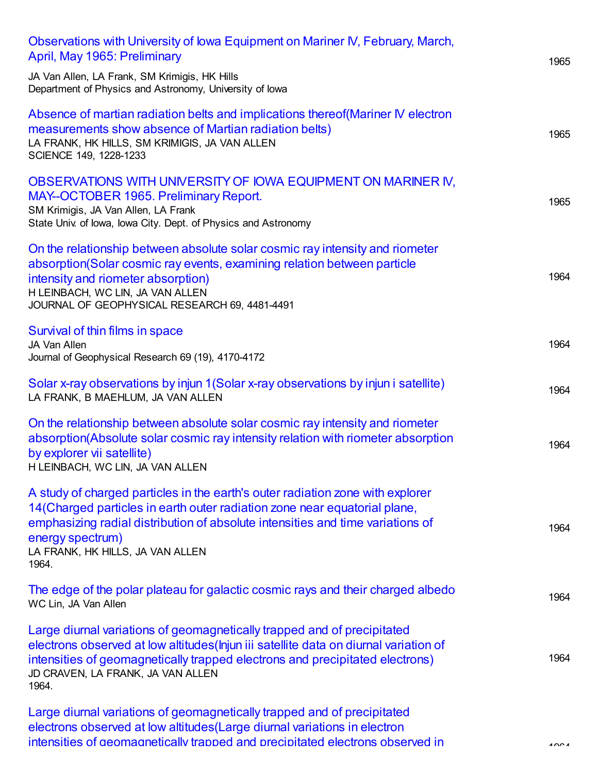| Observations with University of Iowa Equipment on Mariner IV, February, March,<br>April, May 1965: Preliminary                                                                                                                                                                                                  | 1965 |
|-----------------------------------------------------------------------------------------------------------------------------------------------------------------------------------------------------------------------------------------------------------------------------------------------------------------|------|
| JA Van Allen, LA Frank, SM Krimigis, HK Hills<br>Department of Physics and Astronomy, University of Iowa                                                                                                                                                                                                        |      |
| Absence of martian radiation belts and implications thereof(Mariner IV electron<br>measurements show absence of Martian radiation belts)<br>LA FRANK, HK HILLS, SM KRIMIGIS, JA VAN ALLEN<br>SCIENCE 149, 1228-1233                                                                                             | 1965 |
| OBSERVATIONS WITH UNIVERSITY OF IOWA EQUIPMENT ON MARINER IV,<br>MAY--OCTOBER 1965. Preliminary Report.<br>SM Krimigis, JA Van Allen, LA Frank<br>State Univ. of Iowa, Iowa City. Dept. of Physics and Astronomy                                                                                                | 1965 |
| On the relationship between absolute solar cosmic ray intensity and riometer<br>absorption (Solar cosmic ray events, examining relation between particle<br>intensity and riometer absorption)<br>H LEINBACH, WC LIN, JA VAN ALLEN<br>JOURNAL OF GEOPHYSICAL RESEARCH 69, 4481-4491                             | 1964 |
| Survival of thin films in space<br>JA Van Allen<br>Journal of Geophysical Research 69 (19), 4170-4172                                                                                                                                                                                                           | 1964 |
| Solar x-ray observations by injun 1(Solar x-ray observations by injun i satellite)<br>LA FRANK, B MAEHLUM, JA VAN ALLEN                                                                                                                                                                                         | 1964 |
| On the relationship between absolute solar cosmic ray intensity and riometer<br>absorption(Absolute solar cosmic ray intensity relation with riometer absorption<br>by explorer vii satellite)<br>H LEINBACH, WC LIN, JA VAN ALLEN                                                                              | 1964 |
| A study of charged particles in the earth's outer radiation zone with explorer<br>14 (Charged particles in earth outer radiation zone near equatorial plane,<br>emphasizing radial distribution of absolute intensities and time variations of<br>energy spectrum)<br>LA FRANK, HK HILLS, JA VAN ALLEN<br>1964. | 1964 |
| The edge of the polar plateau for galactic cosmic rays and their charged albedo<br>WC Lin, JA Van Allen                                                                                                                                                                                                         | 1964 |
| Large diurnal variations of geomagnetically trapped and of precipitated<br>electrons observed at low altitudes (Injun iii satellite data on diurnal variation of<br>intensities of geomagnetically trapped electrons and precipitated electrons)<br>JD CRAVEN, LA FRANK, JA VAN ALLEN<br>1964.                  | 1964 |
| Large diurnal variations of geomagnetically trapped and of precipitated<br>electrons observed at low altitudes (Large diurnal variations in electron                                                                                                                                                            |      |

intensities of geomagnetically trapped and precipitated electrons observed in 1964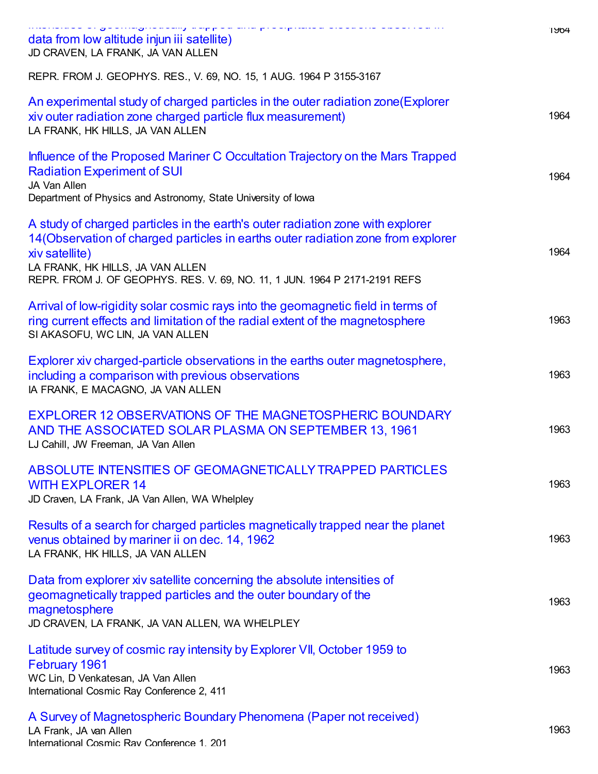| التدام والانواعية والمتوافقة والمتسلم والواقع ماليو مواقع والوامية والمتعمولين والمتابعين الواقع والمتابعة المتا<br>data from low altitude injun iii satellite)<br>JD CRAVEN, LA FRANK, JA VAN ALLEN                                                                                                    | 1904 |
|---------------------------------------------------------------------------------------------------------------------------------------------------------------------------------------------------------------------------------------------------------------------------------------------------------|------|
| REPR. FROM J. GEOPHYS. RES., V. 69, NO. 15, 1 AUG. 1964 P 3155-3167                                                                                                                                                                                                                                     |      |
| An experimental study of charged particles in the outer radiation zone (Explorer<br>xiv outer radiation zone charged particle flux measurement)<br>LA FRANK, HK HILLS, JA VAN ALLEN                                                                                                                     | 1964 |
| Influence of the Proposed Mariner C Occultation Trajectory on the Mars Trapped<br><b>Radiation Experiment of SUI</b><br>JA Van Allen<br>Department of Physics and Astronomy, State University of Iowa                                                                                                   | 1964 |
| A study of charged particles in the earth's outer radiation zone with explorer<br>14 (Observation of charged particles in earths outer radiation zone from explorer<br>xiv satellite)<br>LA FRANK, HK HILLS, JA VAN ALLEN<br>REPR. FROM J. OF GEOPHYS. RES. V. 69, NO. 11, 1 JUN. 1964 P 2171-2191 REFS | 1964 |
| Arrival of low-rigidity solar cosmic rays into the geomagnetic field in terms of<br>ring current effects and limitation of the radial extent of the magnetosphere<br>SI AKASOFU, WC LIN, JA VAN ALLEN                                                                                                   | 1963 |
| Explorer xiv charged-particle observations in the earths outer magnetosphere,<br>including a comparison with previous observations<br>IA FRANK, E MACAGNO, JA VAN ALLEN                                                                                                                                 | 1963 |
| EXPLORER 12 OBSERVATIONS OF THE MAGNETOSPHERIC BOUNDARY<br>AND THE ASSOCIATED SOLAR PLASMA ON SEPTEMBER 13, 1961<br>LJ Cahill, JW Freeman, JA Van Allen                                                                                                                                                 | 1963 |
| ABSOLUTE INTENSITIES OF GEOMAGNETICALLY TRAPPED PARTICLES<br><b>WITH EXPLORER 14</b><br>JD Craven, LA Frank, JA Van Allen, WA Whelpley                                                                                                                                                                  | 1963 |
| Results of a search for charged particles magnetically trapped near the planet<br>venus obtained by mariner ii on dec. 14, 1962<br>LA FRANK, HK HILLS, JA VAN ALLEN                                                                                                                                     | 1963 |
| Data from explorer xiv satellite concerning the absolute intensities of<br>geomagnetically trapped particles and the outer boundary of the<br>magnetosphere<br>JD CRAVEN, LA FRANK, JA VAN ALLEN, WA WHELPLEY                                                                                           | 1963 |
| Latitude survey of cosmic ray intensity by Explorer VII, October 1959 to<br>February 1961<br>WC Lin, D Venkatesan, JA Van Allen<br>International Cosmic Ray Conference 2, 411                                                                                                                           | 1963 |
| A Survey of Magnetospheric Boundary Phenomena (Paper not received)<br>LA Frank, JA van Allen<br>International Cosmic Rav Conference 1, 201                                                                                                                                                              | 1963 |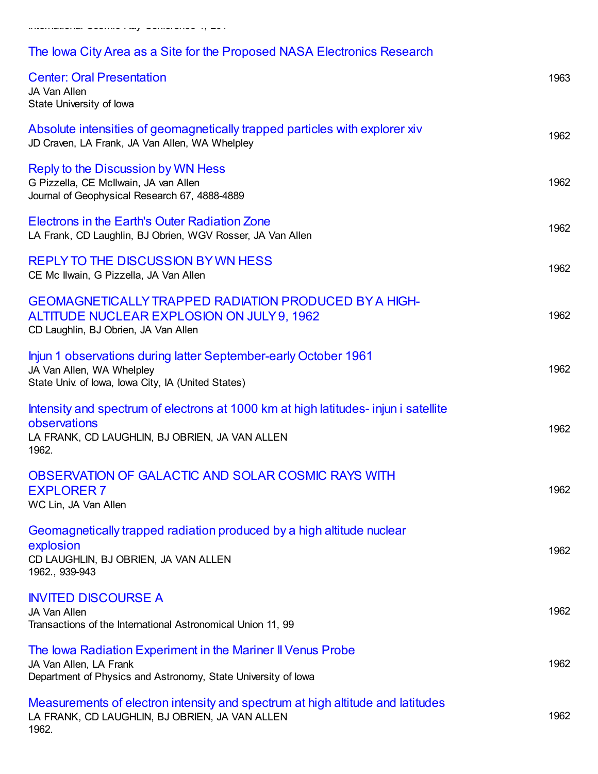## The Iowa City Area as a Site for the Proposed NASA [Electronics](https://scholar.google.com/citations?view_op=view_citation&hl=en&user=ErFeWdEAAAAJ&cstart=300&pagesize=100&citation_for_view=ErFeWdEAAAAJ:PbrqR9PZhrEC) Research

| <b>Center: Oral Presentation</b><br>JA Van Allen<br>State University of lowa                                                                                   | 1963 |
|----------------------------------------------------------------------------------------------------------------------------------------------------------------|------|
| Absolute intensities of geomagnetically trapped particles with explorer xiv<br>JD Craven, LA Frank, JA Van Allen, WA Whelpley                                  | 1962 |
| Reply to the Discussion by WN Hess<br>G Pizzella, CE McIlwain, JA van Allen<br>Journal of Geophysical Research 67, 4888-4889                                   | 1962 |
| Electrons in the Earth's Outer Radiation Zone<br>LA Frank, CD Laughlin, BJ Obrien, WGV Rosser, JA Van Allen                                                    | 1962 |
| <b>REPLY TO THE DISCUSSION BY WN HESS</b><br>CE Mc Ilwain, G Pizzella, JA Van Allen                                                                            | 1962 |
| <b>GEOMAGNETICALLY TRAPPED RADIATION PRODUCED BY A HIGH-</b><br>ALTITUDE NUCLEAR EXPLOSION ON JULY 9, 1962<br>CD Laughlin, BJ Obrien, JA Van Allen             | 1962 |
| Injun 1 observations during latter September-early October 1961<br>JA Van Allen, WA Whelpley<br>State Univ. of Iowa, Iowa City, IA (United States)             | 1962 |
| Intensity and spectrum of electrons at 1000 km at high latitudes- injun i satellite<br>observations<br>LA FRANK, CD LAUGHLIN, BJ OBRIEN, JA VAN ALLEN<br>1962. | 1962 |
| OBSERVATION OF GALACTIC AND SOLAR COSMIC RAYS WITH<br><b>EXPLORER 7</b><br>WC Lin, JA Van Allen                                                                | 1962 |
| Geomagnetically trapped radiation produced by a high altitude nuclear<br>explosion<br>CD LAUGHLIN, BJ OBRIEN, JA VAN ALLEN<br>1962., 939-943                   | 1962 |
| <b>INVITED DISCOURSE A</b><br>JA Van Allen<br>Transactions of the International Astronomical Union 11, 99                                                      | 1962 |
| The Iowa Radiation Experiment in the Mariner II Venus Probe<br>JA Van Allen, LA Frank<br>Department of Physics and Astronomy, State University of lowa         | 1962 |
| Measurements of electron intensity and spectrum at high altitude and latitudes<br>LA FRANK, CD LAUGHLIN, BJ OBRIEN, JA VAN ALLEN<br>1962.                      | 1962 |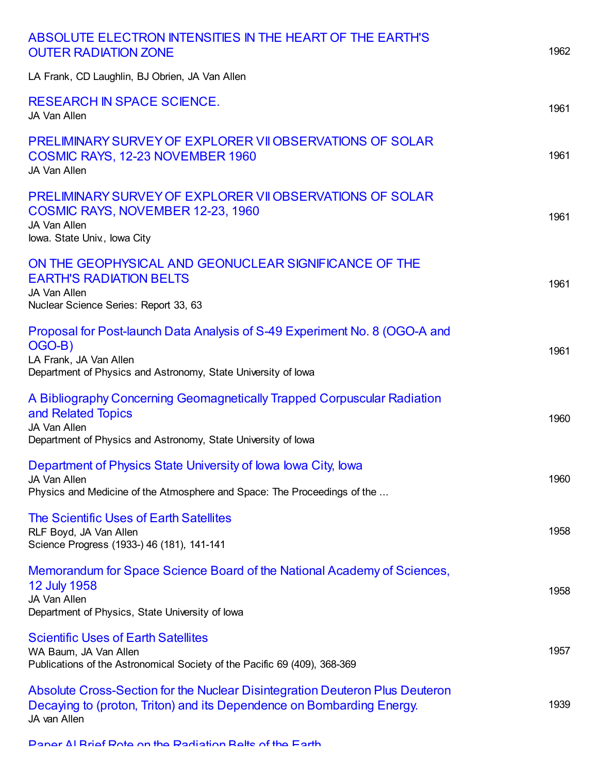| ABSOLUTE ELECTRON INTENSITIES IN THE HEART OF THE EARTH'S<br><b>OUTER RADIATION ZONE</b>                                                                                        | 1962 |
|---------------------------------------------------------------------------------------------------------------------------------------------------------------------------------|------|
| LA Frank, CD Laughlin, BJ Obrien, JA Van Allen                                                                                                                                  |      |
| <b>RESEARCH IN SPACE SCIENCE.</b><br>JA Van Allen                                                                                                                               | 1961 |
| PRELIMINARY SURVEY OF EXPLORER VII OBSERVATIONS OF SOLAR<br>COSMIC RAYS, 12-23 NOVEMBER 1960<br>JA Van Allen                                                                    | 1961 |
| PRELIMINARY SURVEY OF EXPLORER VII OBSERVATIONS OF SOLAR<br><b>COSMIC RAYS, NOVEMBER 12-23, 1960</b><br>JA Van Allen<br>lowa. State Univ., lowa City                            | 1961 |
| ON THE GEOPHYSICAL AND GEONUCLEAR SIGNIFICANCE OF THE<br><b>EARTH'S RADIATION BELTS</b><br>JA Van Allen<br>Nuclear Science Series: Report 33, 63                                | 1961 |
| Proposal for Post-launch Data Analysis of S-49 Experiment No. 8 (OGO-A and<br>OGO-B)<br>LA Frank, JA Van Allen<br>Department of Physics and Astronomy, State University of Iowa | 1961 |
| A Bibliography Concerning Geomagnetically Trapped Corpuscular Radiation<br>and Related Topics<br>JA Van Allen<br>Department of Physics and Astronomy, State University of Iowa  | 1960 |
| Department of Physics State University of Iowa Iowa City, Iowa<br>JA Van Allen<br>Physics and Medicine of the Atmosphere and Space: The Proceedings of the                      | 1960 |
| The Scientific Uses of Earth Satellites<br>RLF Boyd, JA Van Allen<br>Science Progress (1933-) 46 (181), 141-141                                                                 | 1958 |
| Memorandum for Space Science Board of the National Academy of Sciences,<br><b>12 July 1958</b><br>JA Van Allen<br>Department of Physics, State University of Iowa               | 1958 |
| <b>Scientific Uses of Earth Satellites</b><br>WA Baum, JA Van Allen<br>Publications of the Astronomical Society of the Pacific 69 (409), 368-369                                | 1957 |
| Absolute Cross-Section for the Nuclear Disintegration Deuteron Plus Deuteron<br>Decaying to (proton, Triton) and its Dependence on Bombarding Energy.<br>JA van Allen           | 1939 |